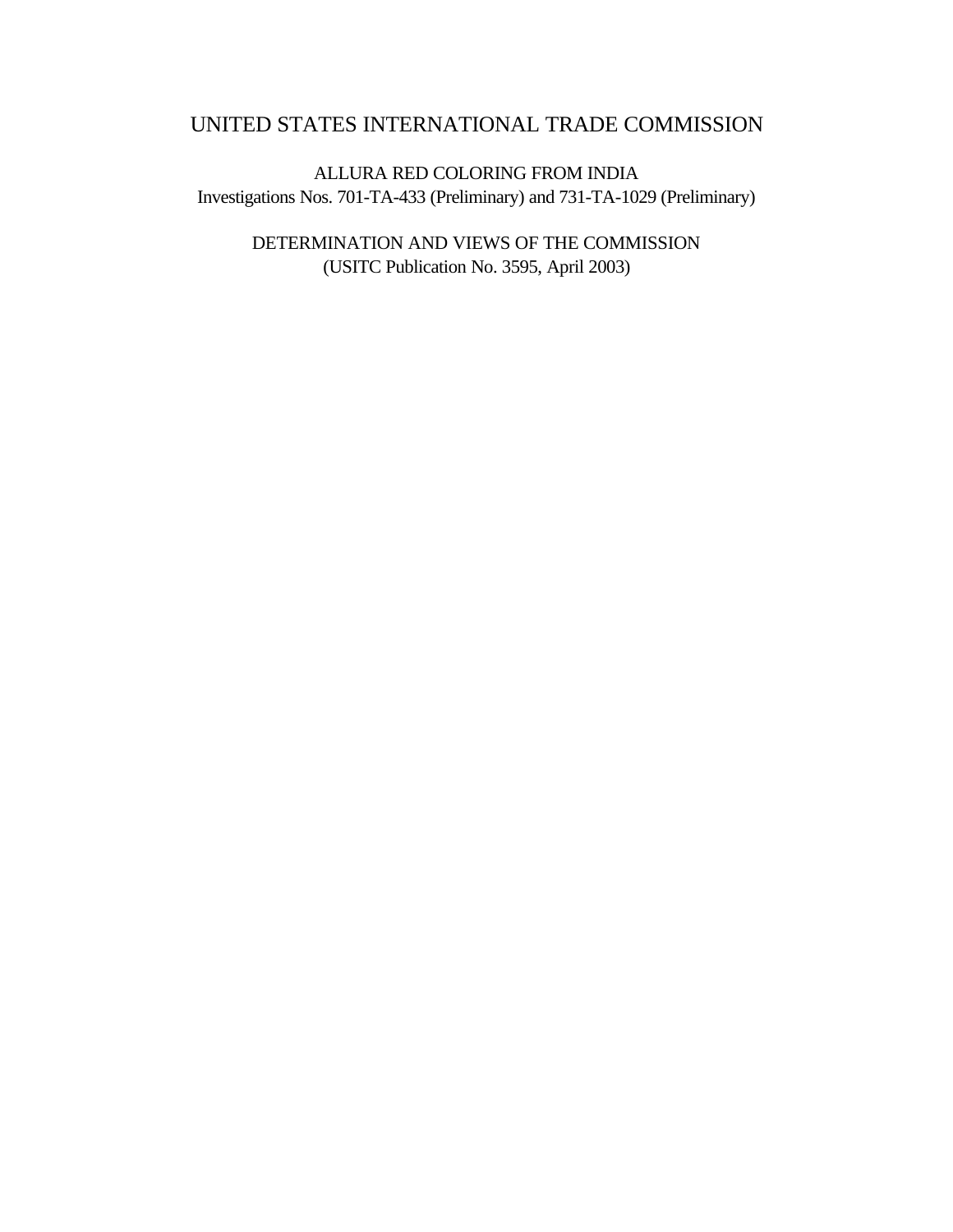# UNITED STATES INTERNATIONAL TRADE COMMISSION

ALLURA RED COLORING FROM INDIA Investigations Nos. 701-TA-433 (Preliminary) and 731-TA-1029 (Preliminary)

DETERMINATION AND VIEWS OF THE COMMISSION (USITC Publication No. 3595, April 2003)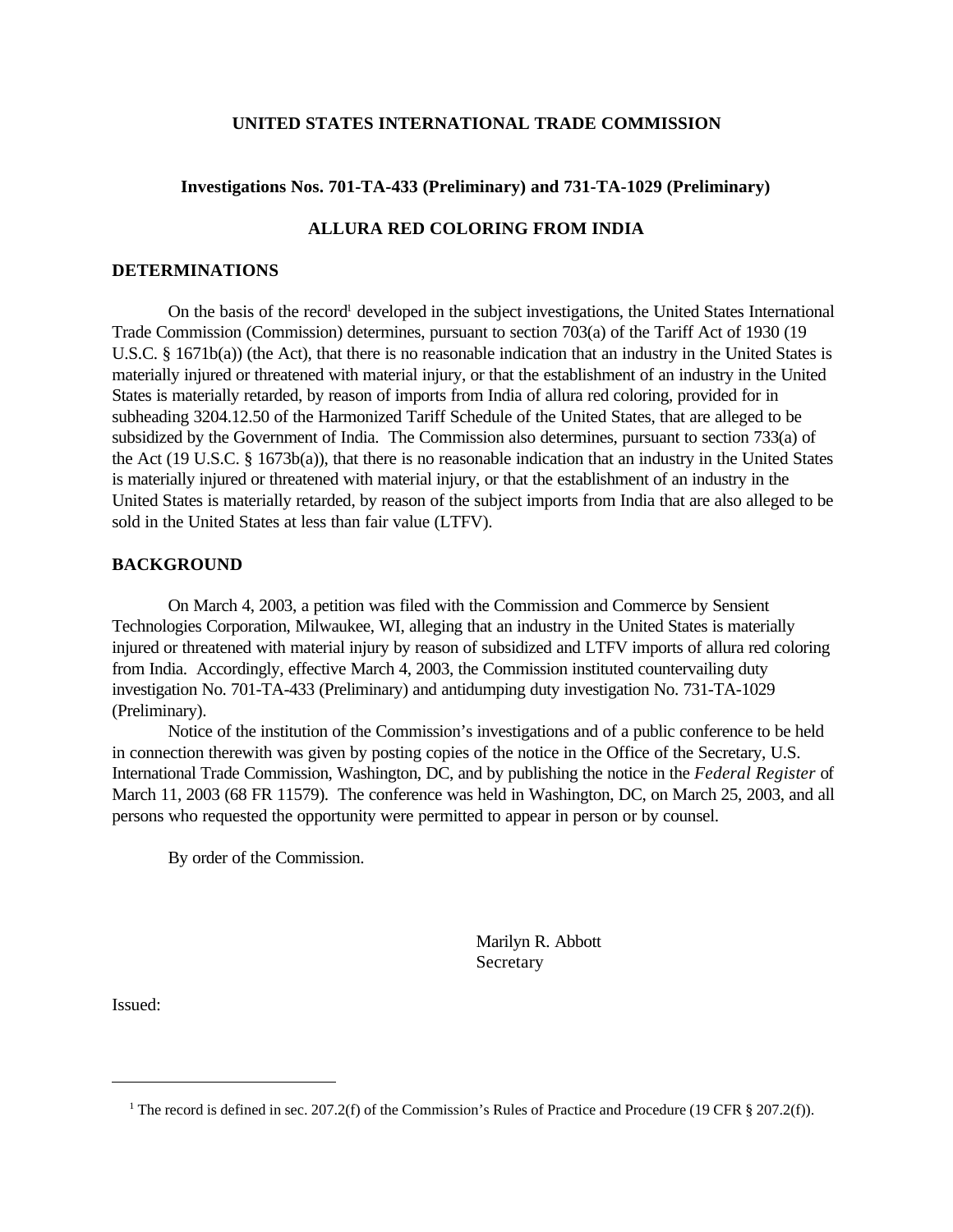## **UNITED STATES INTERNATIONAL TRADE COMMISSION**

## **Investigations Nos. 701-TA-433 (Preliminary) and 731-TA-1029 (Preliminary)**

## **ALLURA RED COLORING FROM INDIA**

#### **DETERMINATIONS**

On the basis of the record<sup>1</sup> developed in the subject investigations, the United States International Trade Commission (Commission) determines, pursuant to section 703(a) of the Tariff Act of 1930 (19 U.S.C. § 1671b(a)) (the Act), that there is no reasonable indication that an industry in the United States is materially injured or threatened with material injury, or that the establishment of an industry in the United States is materially retarded, by reason of imports from India of allura red coloring, provided for in subheading 3204.12.50 of the Harmonized Tariff Schedule of the United States, that are alleged to be subsidized by the Government of India. The Commission also determines, pursuant to section 733(a) of the Act (19 U.S.C. § 1673b(a)), that there is no reasonable indication that an industry in the United States is materially injured or threatened with material injury, or that the establishment of an industry in the United States is materially retarded, by reason of the subject imports from India that are also alleged to be sold in the United States at less than fair value (LTFV).

# **BACKGROUND**

On March 4, 2003, a petition was filed with the Commission and Commerce by Sensient Technologies Corporation, Milwaukee, WI, alleging that an industry in the United States is materially injured or threatened with material injury by reason of subsidized and LTFV imports of allura red coloring from India. Accordingly, effective March 4, 2003, the Commission instituted countervailing duty investigation No. 701-TA-433 (Preliminary) and antidumping duty investigation No. 731-TA-1029 (Preliminary).

Notice of the institution of the Commission's investigations and of a public conference to be held in connection therewith was given by posting copies of the notice in the Office of the Secretary, U.S. International Trade Commission, Washington, DC, and by publishing the notice in the *Federal Register* of March 11, 2003 (68 FR 11579). The conference was held in Washington, DC, on March 25, 2003, and all persons who requested the opportunity were permitted to appear in person or by counsel.

By order of the Commission.

Marilyn R. Abbott Secretary

Issued:

<sup>&</sup>lt;sup>1</sup> The record is defined in sec. 207.2(f) of the Commission's Rules of Practice and Procedure (19 CFR § 207.2(f)).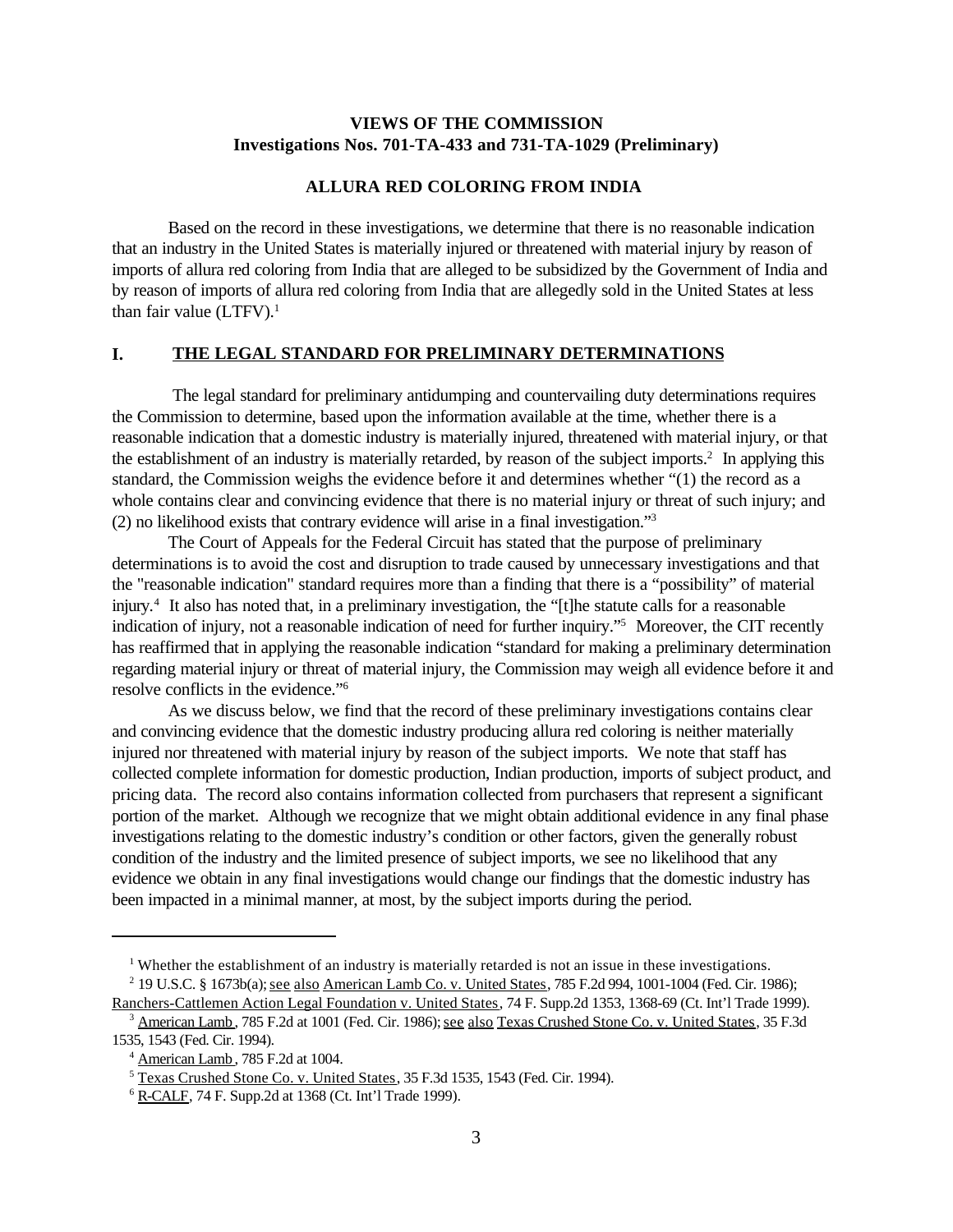# **VIEWS OF THE COMMISSION Investigations Nos. 701-TA-433 and 731-TA-1029 (Preliminary)**

## **ALLURA RED COLORING FROM INDIA**

Based on the record in these investigations, we determine that there is no reasonable indication that an industry in the United States is materially injured or threatened with material injury by reason of imports of allura red coloring from India that are alleged to be subsidized by the Government of India and by reason of imports of allura red coloring from India that are allegedly sold in the United States at less than fair value  $(LTFV).<sup>1</sup>$ 

#### **I. THE LEGAL STANDARD FOR PRELIMINARY DETERMINATIONS**

 The legal standard for preliminary antidumping and countervailing duty determinations requires the Commission to determine, based upon the information available at the time, whether there is a reasonable indication that a domestic industry is materially injured, threatened with material injury, or that the establishment of an industry is materially retarded, by reason of the subject imports.<sup>2</sup> In applying this standard, the Commission weighs the evidence before it and determines whether "(1) the record as a whole contains clear and convincing evidence that there is no material injury or threat of such injury; and (2) no likelihood exists that contrary evidence will arise in a final investigation."<sup>3</sup>

The Court of Appeals for the Federal Circuit has stated that the purpose of preliminary determinations is to avoid the cost and disruption to trade caused by unnecessary investigations and that the "reasonable indication" standard requires more than a finding that there is a "possibility" of material injury.<sup>4</sup> It also has noted that, in a preliminary investigation, the "[t]he statute calls for a reasonable indication of injury, not a reasonable indication of need for further inquiry."<sup>5</sup> Moreover, the CIT recently has reaffirmed that in applying the reasonable indication "standard for making a preliminary determination regarding material injury or threat of material injury, the Commission may weigh all evidence before it and resolve conflicts in the evidence."<sup>6</sup>

As we discuss below, we find that the record of these preliminary investigations contains clear and convincing evidence that the domestic industry producing allura red coloring is neither materially injured nor threatened with material injury by reason of the subject imports. We note that staff has collected complete information for domestic production, Indian production, imports of subject product, and pricing data. The record also contains information collected from purchasers that represent a significant portion of the market. Although we recognize that we might obtain additional evidence in any final phase investigations relating to the domestic industry's condition or other factors, given the generally robust condition of the industry and the limited presence of subject imports, we see no likelihood that any evidence we obtain in any final investigations would change our findings that the domestic industry has been impacted in a minimal manner, at most, by the subject imports during the period.

<sup>&</sup>lt;sup>1</sup> Whether the establishment of an industry is materially retarded is not an issue in these investigations.

<sup>&</sup>lt;sup>2</sup> 19 U.S.C. § 1673b(a); <u>see also American Lamb Co. v. United States</u>, 785 F.2d 994, 1001-1004 (Fed. Cir. 1986); Ranchers-Cattlemen Action Legal Foundation v. United States, 74 F. Supp.2d 1353, 1368-69 (Ct. Int'l Trade 1999).

<sup>&</sup>lt;sup>3</sup> American Lamb, 785 F.2d at 1001 (Fed. Cir. 1986); see also Texas Crushed Stone Co. v. United States, 35 F.3d 1535, 1543 (Fed. Cir. 1994).

<sup>4</sup> American Lamb , 785 F.2d at 1004.

<sup>5</sup> Texas Crushed Stone Co. v. United States, 35 F.3d 1535, 1543 (Fed. Cir. 1994).

<sup>6</sup> R-CALF, 74 F. Supp.2d at 1368 (Ct. Int'l Trade 1999).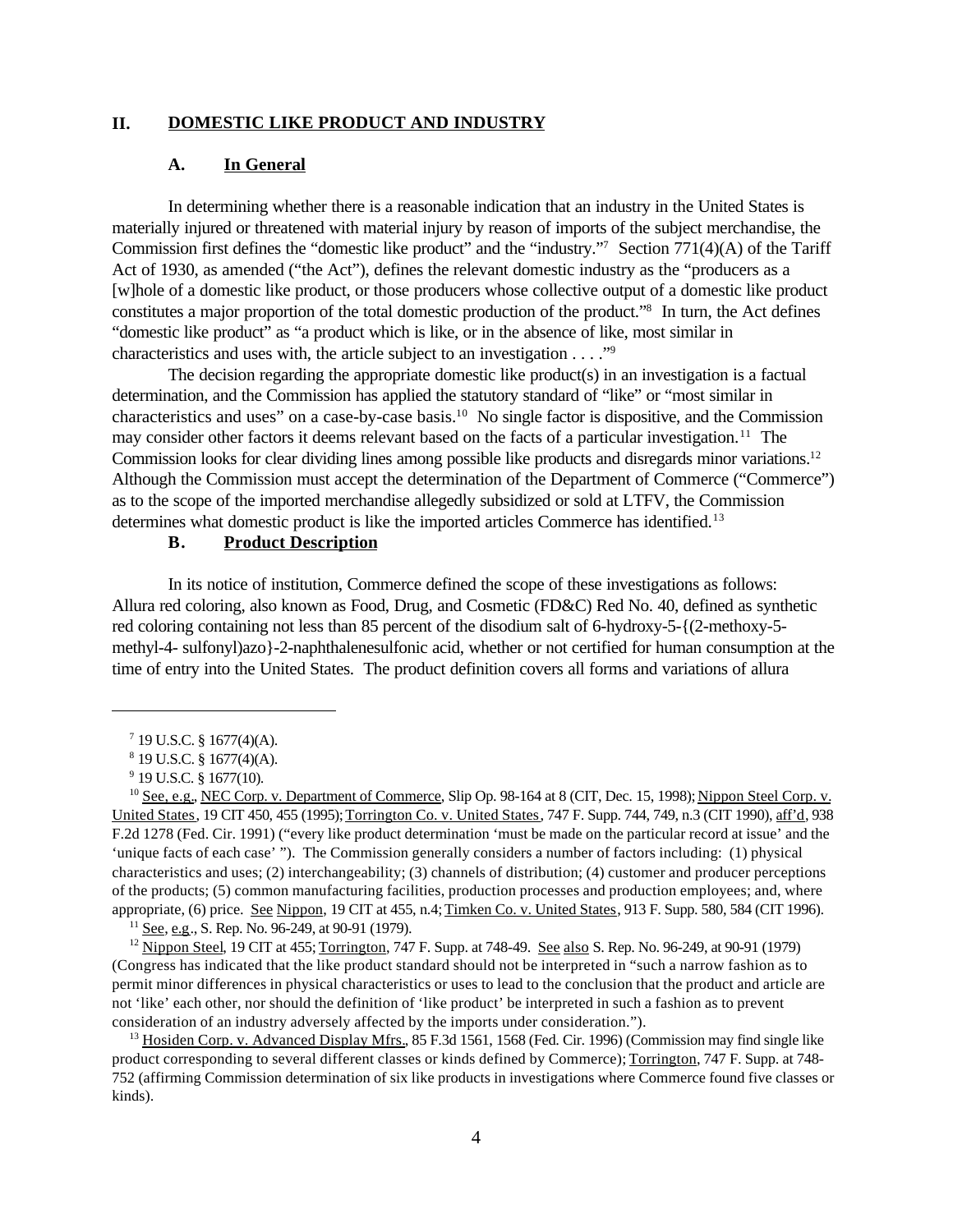#### **II. DOMESTIC LIKE PRODUCT AND INDUSTRY**

#### **A. In General**

In determining whether there is a reasonable indication that an industry in the United States is materially injured or threatened with material injury by reason of imports of the subject merchandise, the Commission first defines the "domestic like product" and the "industry."<sup>7</sup> Section 771(4)(A) of the Tariff Act of 1930, as amended ("the Act"), defines the relevant domestic industry as the "producers as a [w]hole of a domestic like product, or those producers whose collective output of a domestic like product constitutes a major proportion of the total domestic production of the product."<sup>8</sup> In turn, the Act defines "domestic like product" as "a product which is like, or in the absence of like, most similar in characteristics and uses with, the article subject to an investigation . . . ."<sup>9</sup>

The decision regarding the appropriate domestic like product(s) in an investigation is a factual determination, and the Commission has applied the statutory standard of "like" or "most similar in characteristics and uses" on a case-by-case basis.<sup>10</sup> No single factor is dispositive, and the Commission may consider other factors it deems relevant based on the facts of a particular investigation.<sup>11</sup> The Commission looks for clear dividing lines among possible like products and disregards minor variations.<sup>12</sup> Although the Commission must accept the determination of the Department of Commerce ("Commerce") as to the scope of the imported merchandise allegedly subsidized or sold at LTFV, the Commission determines what domestic product is like the imported articles Commerce has identified.<sup>13</sup>

## **B. Product Description**

In its notice of institution, Commerce defined the scope of these investigations as follows: Allura red coloring, also known as Food, Drug, and Cosmetic (FD&C) Red No. 40, defined as synthetic red coloring containing not less than 85 percent of the disodium salt of 6-hydroxy-5-{(2-methoxy-5 methyl-4- sulfonyl)azo}-2-naphthalenesulfonic acid, whether or not certified for human consumption at the time of entry into the United States. The product definition covers all forms and variations of allura

 $11$  See, e.g., S. Rep. No. 96-249, at 90-91 (1979).

 $12$  Nippon Steel, 19 CIT at 455; Torrington, 747 F. Supp. at 748-49. See also S. Rep. No. 96-249, at 90-91 (1979) (Congress has indicated that the like product standard should not be interpreted in "such a narrow fashion as to permit minor differences in physical characteristics or uses to lead to the conclusion that the product and article are not 'like' each other, nor should the definition of 'like product' be interpreted in such a fashion as to prevent consideration of an industry adversely affected by the imports under consideration.").

 $7$  19 U.S.C. § 1677(4)(A).

 $8$  19 U.S.C. § 1677(4)(A).

<sup>&</sup>lt;sup>9</sup> 19 U.S.C. § 1677(10).

 $10$  See, e.g., NEC Corp. v. Department of Commerce, Slip Op. 98-164 at 8 (CIT, Dec. 15, 1998); Nippon Steel Corp. v. United States, 19 CIT 450, 455 (1995); Torrington Co. v. United States, 747 F. Supp. 744, 749, n.3 (CIT 1990), aff'd, 938 F.2d 1278 (Fed. Cir. 1991) ("every like product determination 'must be made on the particular record at issue' and the 'unique facts of each case' "). The Commission generally considers a number of factors including: (1) physical characteristics and uses; (2) interchangeability; (3) channels of distribution; (4) customer and producer perceptions of the products; (5) common manufacturing facilities, production processes and production employees; and, where appropriate, (6) price. See Nippon, 19 CIT at 455, n.4; Timken Co. v. United States, 913 F. Supp. 580, 584 (CIT 1996).

<sup>&</sup>lt;sup>13</sup> Hosiden Corp. v. Advanced Display Mfrs., 85 F.3d 1561, 1568 (Fed. Cir. 1996) (Commission may find single like product corresponding to several different classes or kinds defined by Commerce); Torrington, 747 F. Supp. at 748- 752 (affirming Commission determination of six like products in investigations where Commerce found five classes or kinds).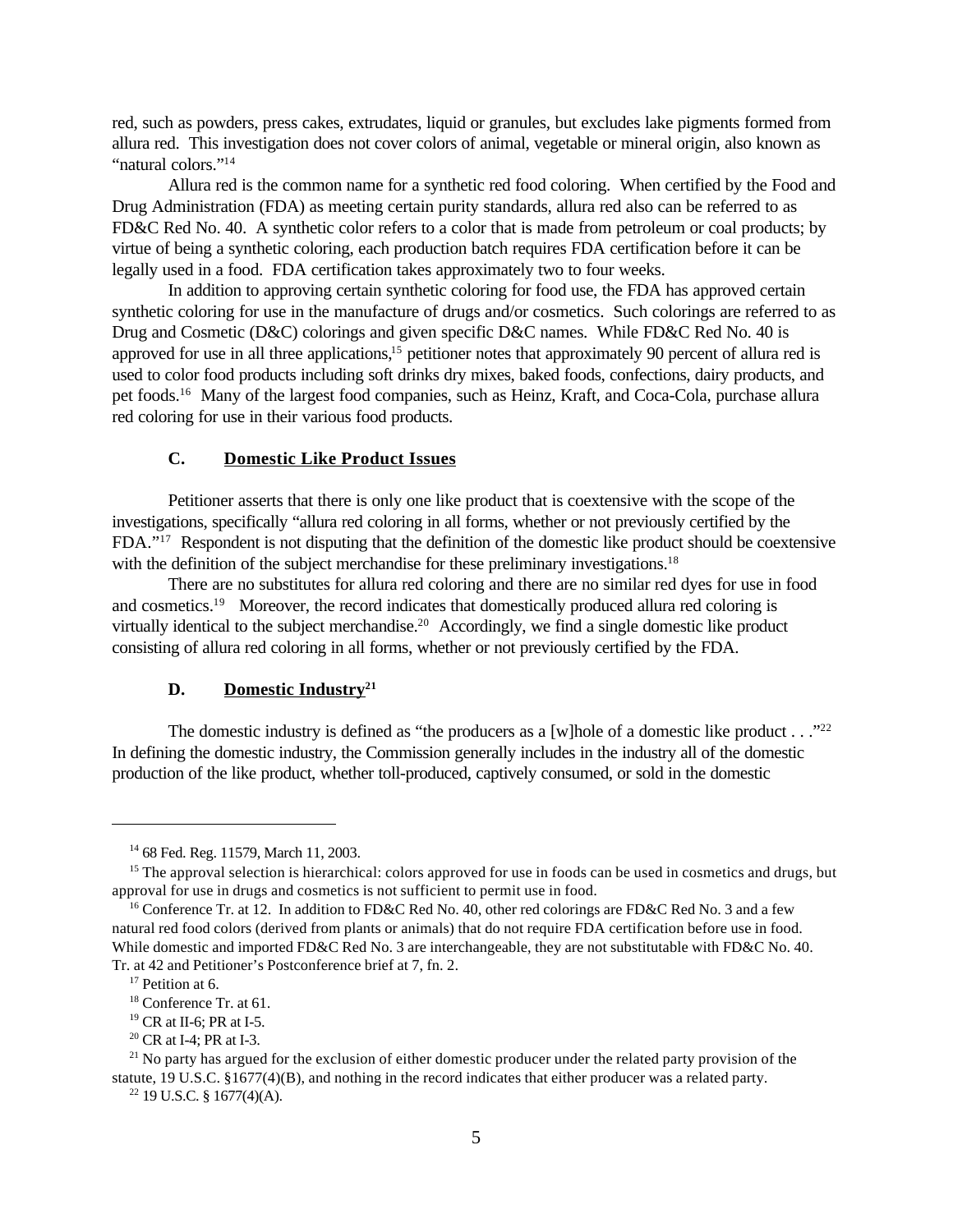red, such as powders, press cakes, extrudates, liquid or granules, but excludes lake pigments formed from allura red. This investigation does not cover colors of animal, vegetable or mineral origin, also known as "natural colors."<sup>14</sup>

Allura red is the common name for a synthetic red food coloring. When certified by the Food and Drug Administration (FDA) as meeting certain purity standards, allura red also can be referred to as FD&C Red No. 40. A synthetic color refers to a color that is made from petroleum or coal products; by virtue of being a synthetic coloring, each production batch requires FDA certification before it can be legally used in a food. FDA certification takes approximately two to four weeks.

In addition to approving certain synthetic coloring for food use, the FDA has approved certain synthetic coloring for use in the manufacture of drugs and/or cosmetics. Such colorings are referred to as Drug and Cosmetic (D&C) colorings and given specific D&C names. While FD&C Red No. 40 is approved for use in all three applications,<sup>15</sup> petitioner notes that approximately 90 percent of allura red is used to color food products including soft drinks dry mixes, baked foods, confections, dairy products, and pet foods.<sup>16</sup> Many of the largest food companies, such as Heinz, Kraft, and Coca-Cola, purchase allura red coloring for use in their various food products.

## **C. Domestic Like Product Issues**

Petitioner asserts that there is only one like product that is coextensive with the scope of the investigations, specifically "allura red coloring in all forms, whether or not previously certified by the FDA."<sup>17</sup> Respondent is not disputing that the definition of the domestic like product should be coextensive with the definition of the subject merchandise for these preliminary investigations.<sup>18</sup>

There are no substitutes for allura red coloring and there are no similar red dyes for use in food and cosmetics.<sup>19</sup> Moreover, the record indicates that domestically produced allura red coloring is virtually identical to the subject merchandise.<sup>20</sup> Accordingly, we find a single domestic like product consisting of allura red coloring in all forms, whether or not previously certified by the FDA.

### **D. Domestic Industry<sup>21</sup>**

The domestic industry is defined as "the producers as a [w]hole of a domestic like product . . ."<sup>22</sup> In defining the domestic industry, the Commission generally includes in the industry all of the domestic production of the like product, whether toll-produced, captively consumed, or sold in the domestic

<sup>14</sup> 68 Fed. Reg. 11579, March 11, 2003.

 $15$  The approval selection is hierarchical: colors approved for use in foods can be used in cosmetics and drugs, but approval for use in drugs and cosmetics is not sufficient to permit use in food.

<sup>&</sup>lt;sup>16</sup> Conference Tr. at 12. In addition to FD&C Red No. 40, other red colorings are FD&C Red No. 3 and a few natural red food colors (derived from plants or animals) that do not require FDA certification before use in food. While domestic and imported FD&C Red No. 3 are interchangeable, they are not substitutable with FD&C No. 40. Tr. at 42 and Petitioner's Postconference brief at 7, fn. 2.

<sup>&</sup>lt;sup>17</sup> Petition at 6.

<sup>&</sup>lt;sup>18</sup> Conference Tr. at 61.

<sup>&</sup>lt;sup>19</sup> CR at II-6; PR at I-5.

 $20$  CR at I-4; PR at I-3.

 $21$  No party has argued for the exclusion of either domestic producer under the related party provision of the statute, 19 U.S.C. §1677(4)(B), and nothing in the record indicates that either producer was a related party.

 $22$  19 U.S.C. § 1677(4)(A).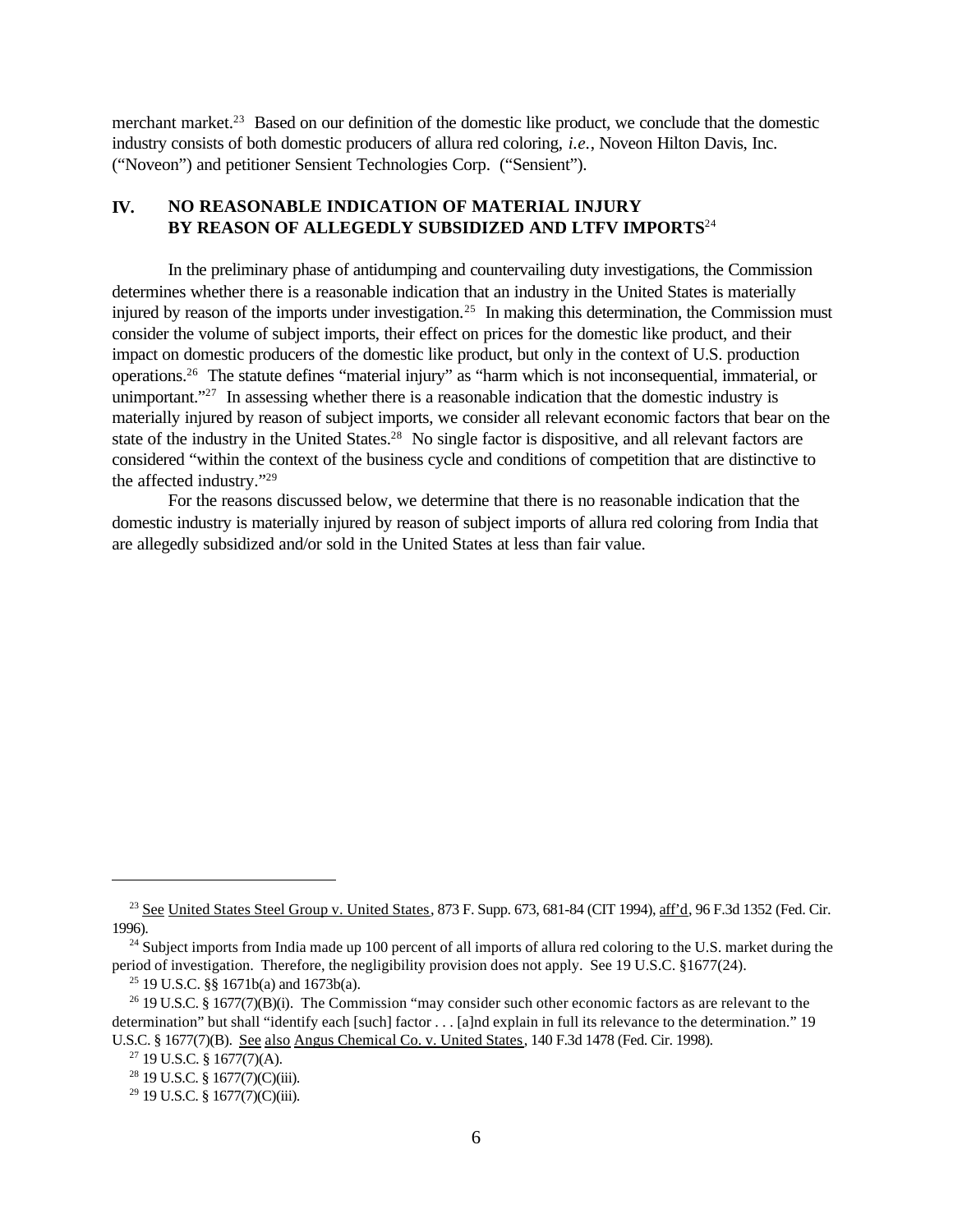merchant market.<sup>23</sup> Based on our definition of the domestic like product, we conclude that the domestic industry consists of both domestic producers of allura red coloring, *i.e.*, Noveon Hilton Davis, Inc. ("Noveon") and petitioner Sensient Technologies Corp. ("Sensient").

# **IV. NO REASONABLE INDICATION OF MATERIAL INJURY BY REASON OF ALLEGEDLY SUBSIDIZED AND LTFV IMPORTS**<sup>24</sup>

In the preliminary phase of antidumping and countervailing duty investigations, the Commission determines whether there is a reasonable indication that an industry in the United States is materially injured by reason of the imports under investigation.<sup>25</sup> In making this determination, the Commission must consider the volume of subject imports, their effect on prices for the domestic like product, and their impact on domestic producers of the domestic like product, but only in the context of U.S. production operations.<sup>26</sup> The statute defines "material injury" as "harm which is not inconsequential, immaterial, or unimportant."<sup>27</sup> In assessing whether there is a reasonable indication that the domestic industry is materially injured by reason of subject imports, we consider all relevant economic factors that bear on the state of the industry in the United States.<sup>28</sup> No single factor is dispositive, and all relevant factors are considered "within the context of the business cycle and conditions of competition that are distinctive to the affected industry."<sup>29</sup>

For the reasons discussed below, we determine that there is no reasonable indication that the domestic industry is materially injured by reason of subject imports of allura red coloring from India that are allegedly subsidized and/or sold in the United States at less than fair value.

 $^{23}$  See United States Steel Group v. United States, 873 F. Supp. 673, 681-84 (CIT 1994), aff'd, 96 F.3d 1352 (Fed. Cir. 1996).

<sup>&</sup>lt;sup>24</sup> Subject imports from India made up 100 percent of all imports of allura red coloring to the U.S. market during the period of investigation. Therefore, the negligibility provision does not apply. See 19 U.S.C. §1677(24).

<sup>25</sup> 19 U.S.C. §§ 1671b(a) and 1673b(a).

<sup>&</sup>lt;sup>26</sup> 19 U.S.C. § 1677(7)(B)(i). The Commission "may consider such other economic factors as are relevant to the determination" but shall "identify each [such] factor . . . [a]nd explain in full its relevance to the determination." 19 U.S.C. § 1677(7)(B). See also Angus Chemical Co. v. United States, 140 F.3d 1478 (Fed. Cir. 1998).

 $27$  19 U.S.C. § 1677(7)(A).

<sup>28</sup> 19 U.S.C. § 1677(7)(C)(iii).

<sup>29</sup> 19 U.S.C. § 1677(7)(C)(iii).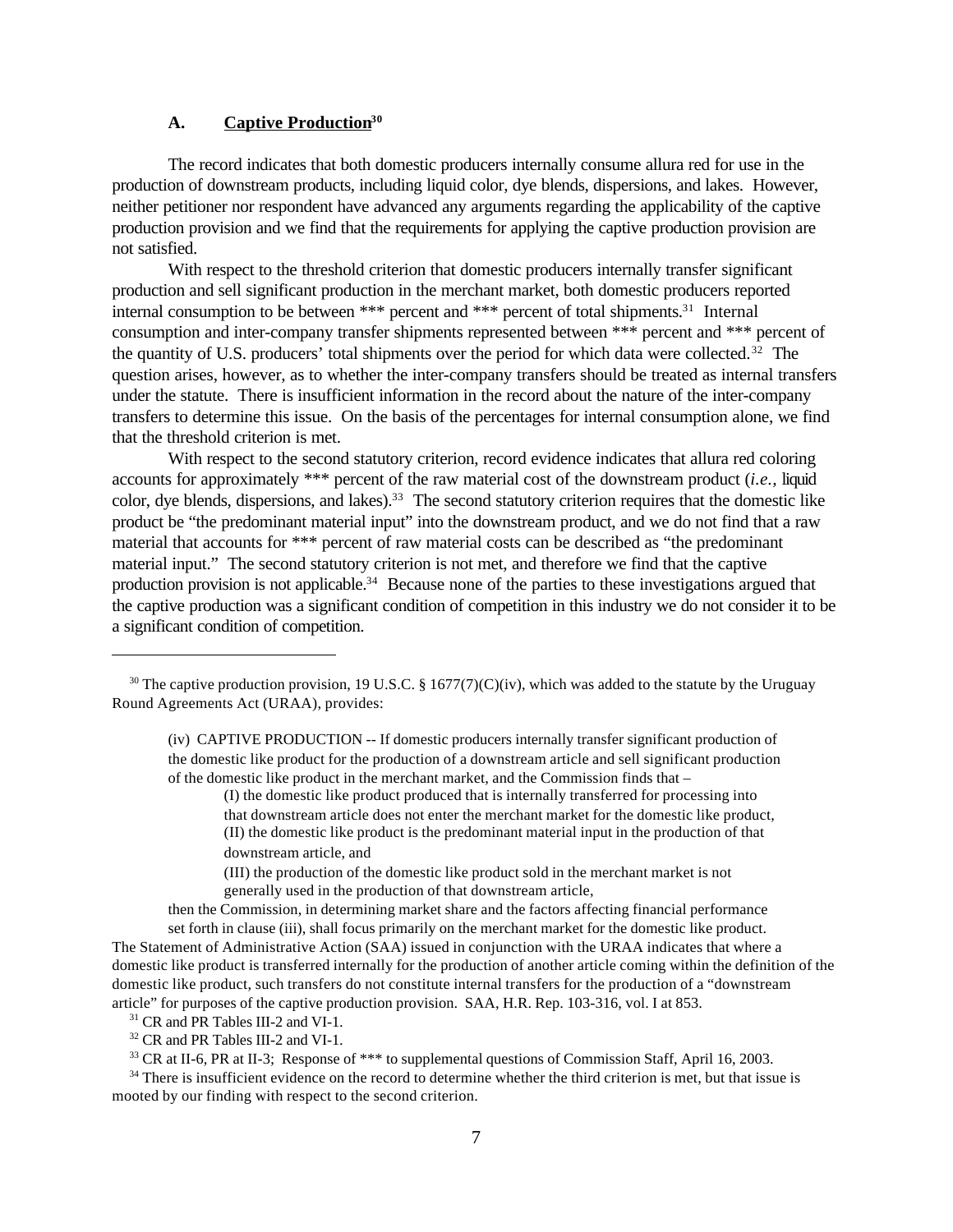#### **A. Captive Production<sup>30</sup>**

The record indicates that both domestic producers internally consume allura red for use in the production of downstream products, including liquid color, dye blends, dispersions, and lakes. However, neither petitioner nor respondent have advanced any arguments regarding the applicability of the captive production provision and we find that the requirements for applying the captive production provision are not satisfied.

With respect to the threshold criterion that domestic producers internally transfer significant production and sell significant production in the merchant market, both domestic producers reported internal consumption to be between \*\*\* percent and \*\*\* percent of total shipments.<sup>31</sup> Internal consumption and inter-company transfer shipments represented between \*\*\* percent and \*\*\* percent of the quantity of U.S. producers' total shipments over the period for which data were collected.<sup>32</sup> The question arises, however, as to whether the inter-company transfers should be treated as internal transfers under the statute. There is insufficient information in the record about the nature of the inter-company transfers to determine this issue. On the basis of the percentages for internal consumption alone, we find that the threshold criterion is met.

With respect to the second statutory criterion, record evidence indicates that allura red coloring accounts for approximately \*\*\* percent of the raw material cost of the downstream product (*i.e.,* liquid color, dye blends, dispersions, and lakes).<sup>33</sup> The second statutory criterion requires that the domestic like product be "the predominant material input" into the downstream product, and we do not find that a raw material that accounts for \*\*\* percent of raw material costs can be described as "the predominant material input." The second statutory criterion is not met, and therefore we find that the captive production provision is not applicable.<sup>34</sup> Because none of the parties to these investigations argued that the captive production was a significant condition of competition in this industry we do not consider it to be a significant condition of competition.

(I) the domestic like product produced that is internally transferred for processing into that downstream article does not enter the merchant market for the domestic like product, (II) the domestic like product is the predominant material input in the production of that downstream article, and

(III) the production of the domestic like product sold in the merchant market is not generally used in the production of that downstream article,

then the Commission, in determining market share and the factors affecting financial performance set forth in clause (iii), shall focus primarily on the merchant market for the domestic like product. The Statement of Administrative Action (SAA) issued in conjunction with the URAA indicates that where a

domestic like product is transferred internally for the production of another article coming within the definition of the domestic like product, such transfers do not constitute internal transfers for the production of a "downstream article" for purposes of the captive production provision. SAA, H.R. Rep. 103-316, vol. I at 853.

<sup>31</sup> CR and PR Tables III-2 and VI-1.

<sup>32</sup> CR and PR Tables III-2 and VI-1.

<sup>34</sup> There is insufficient evidence on the record to determine whether the third criterion is met, but that issue is mooted by our finding with respect to the second criterion.

<sup>&</sup>lt;sup>30</sup> The captive production provision, 19 U.S.C. § 1677(7)(C)(iv), which was added to the statute by the Uruguay Round Agreements Act (URAA), provides:

<sup>(</sup>iv) CAPTIVE PRODUCTION -- If domestic producers internally transfer significant production of the domestic like product for the production of a downstream article and sell significant production of the domestic like product in the merchant market, and the Commission finds that –

<sup>&</sup>lt;sup>33</sup> CR at II-6, PR at II-3; Response of \*\*\* to supplemental questions of Commission Staff, April 16, 2003.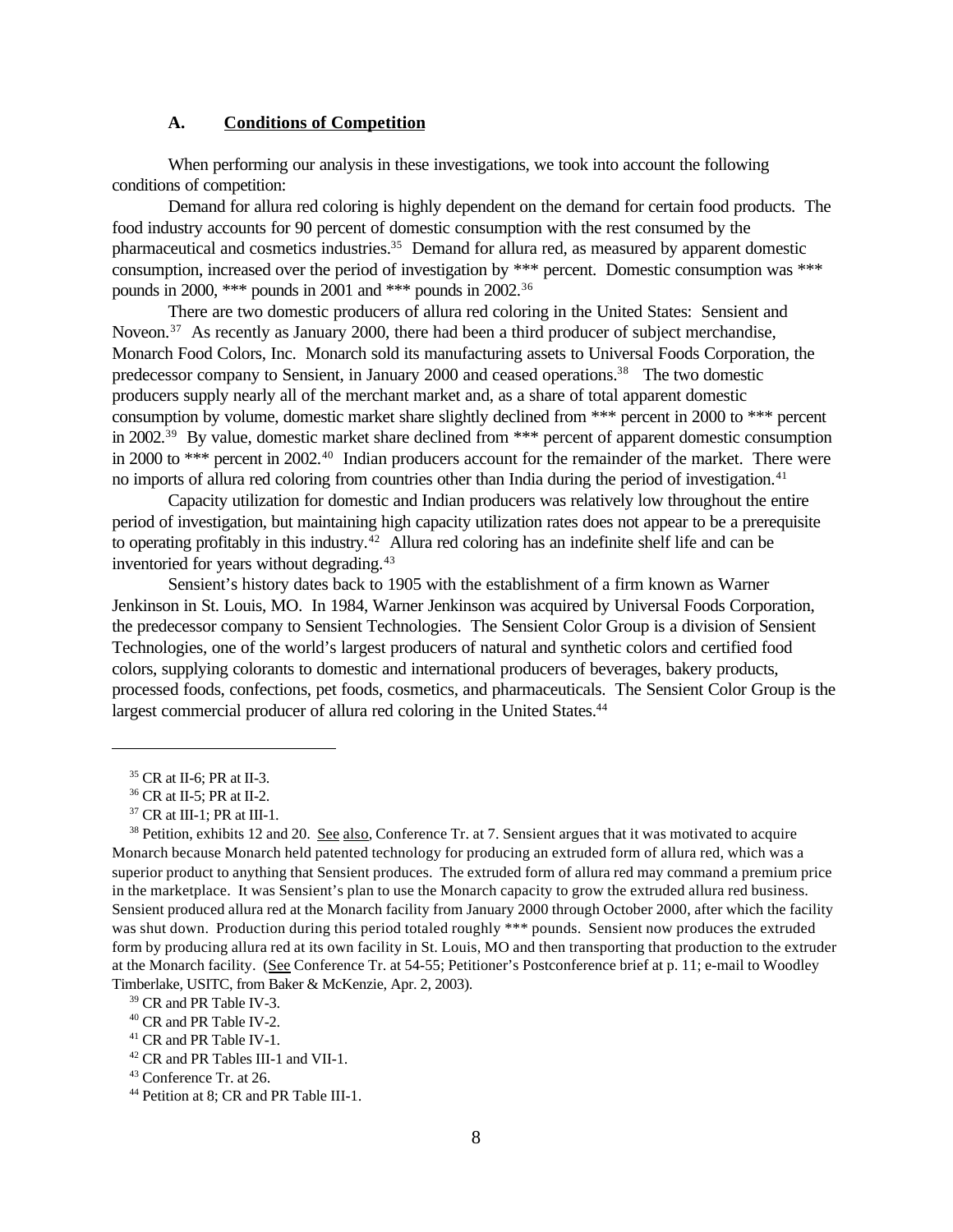#### **A. Conditions of Competition**

When performing our analysis in these investigations, we took into account the following conditions of competition:

Demand for allura red coloring is highly dependent on the demand for certain food products. The food industry accounts for 90 percent of domestic consumption with the rest consumed by the pharmaceutical and cosmetics industries.<sup>35</sup> Demand for allura red, as measured by apparent domestic consumption, increased over the period of investigation by \*\*\* percent. Domestic consumption was \*\*\* pounds in 2000, \*\*\* pounds in 2001 and \*\*\* pounds in 2002.<sup>36</sup>

There are two domestic producers of allura red coloring in the United States: Sensient and Noveon.<sup>37</sup> As recently as January 2000, there had been a third producer of subject merchandise, Monarch Food Colors, Inc. Monarch sold its manufacturing assets to Universal Foods Corporation, the predecessor company to Sensient, in January 2000 and ceased operations.<sup>38</sup> The two domestic producers supply nearly all of the merchant market and, as a share of total apparent domestic consumption by volume, domestic market share slightly declined from \*\*\* percent in 2000 to \*\*\* percent in 2002.<sup>39</sup> By value, domestic market share declined from \*\*\* percent of apparent domestic consumption in 2000 to \*\*\* percent in 2002.<sup>40</sup> Indian producers account for the remainder of the market. There were no imports of allura red coloring from countries other than India during the period of investigation.<sup>41</sup>

Capacity utilization for domestic and Indian producers was relatively low throughout the entire period of investigation, but maintaining high capacity utilization rates does not appear to be a prerequisite to operating profitably in this industry.<sup>42</sup> Allura red coloring has an indefinite shelf life and can be inventoried for years without degrading.<sup>43</sup>

Sensient's history dates back to 1905 with the establishment of a firm known as Warner Jenkinson in St. Louis, MO. In 1984, Warner Jenkinson was acquired by Universal Foods Corporation, the predecessor company to Sensient Technologies. The Sensient Color Group is a division of Sensient Technologies, one of the world's largest producers of natural and synthetic colors and certified food colors, supplying colorants to domestic and international producers of beverages, bakery products, processed foods, confections, pet foods, cosmetics, and pharmaceuticals. The Sensient Color Group is the largest commercial producer of allura red coloring in the United States.<sup>44</sup>

<sup>35</sup> CR at II-6; PR at II-3.

<sup>36</sup> CR at II-5; PR at II-2.

<sup>37</sup> CR at III-1; PR at III-1.

<sup>38</sup> Petition, exhibits 12 and 20. See also*,* Conference Tr. at 7. Sensient argues that it was motivated to acquire Monarch because Monarch held patented technology for producing an extruded form of allura red, which was a superior product to anything that Sensient produces. The extruded form of allura red may command a premium price in the marketplace. It was Sensient's plan to use the Monarch capacity to grow the extruded allura red business. Sensient produced allura red at the Monarch facility from January 2000 through October 2000, after which the facility was shut down. Production during this period totaled roughly \*\*\* pounds. Sensient now produces the extruded form by producing allura red at its own facility in St. Louis, MO and then transporting that production to the extruder at the Monarch facility. (See Conference Tr. at 54-55; Petitioner's Postconference brief at p. 11; e-mail to Woodley Timberlake, USITC, from Baker & McKenzie, Apr. 2, 2003).

<sup>&</sup>lt;sup>39</sup> CR and PR Table IV-3.

<sup>40</sup> CR and PR Table IV-2.

<sup>&</sup>lt;sup>41</sup> CR and PR Table IV-1.

<sup>42</sup> CR and PR Tables III-1 and VII-1.

<sup>43</sup> Conference Tr. at 26.

<sup>44</sup> Petition at 8; CR and PR Table III-1.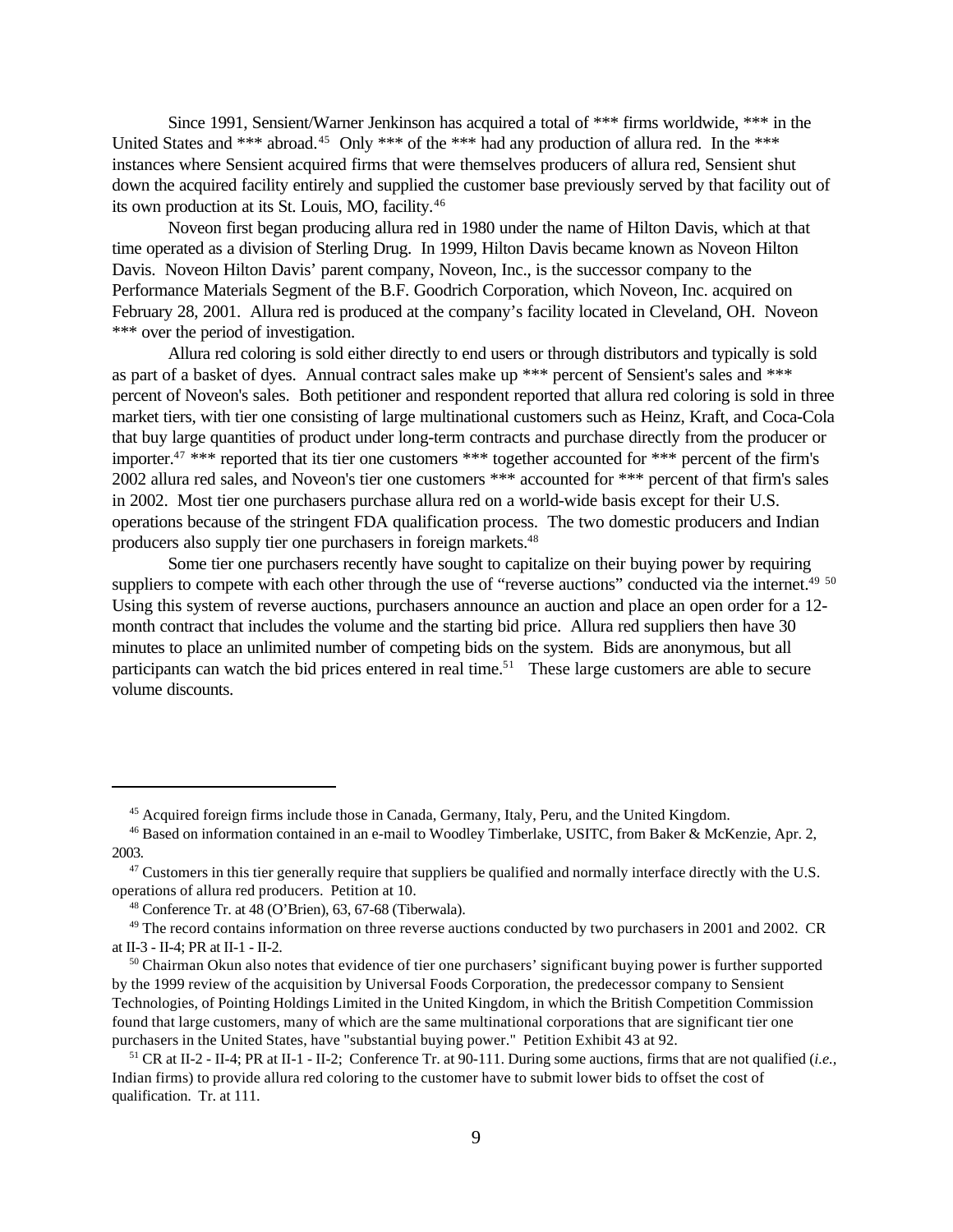Since 1991, Sensient/Warner Jenkinson has acquired a total of \*\*\* firms worldwide, \*\*\* in the United States and \*\*\* abroad.<sup>45</sup> Only \*\*\* of the \*\*\* had any production of allura red. In the \*\*\* instances where Sensient acquired firms that were themselves producers of allura red, Sensient shut down the acquired facility entirely and supplied the customer base previously served by that facility out of its own production at its St. Louis, MO, facility.<sup>46</sup>

Noveon first began producing allura red in 1980 under the name of Hilton Davis, which at that time operated as a division of Sterling Drug. In 1999, Hilton Davis became known as Noveon Hilton Davis. Noveon Hilton Davis' parent company, Noveon, Inc., is the successor company to the Performance Materials Segment of the B.F. Goodrich Corporation, which Noveon, Inc. acquired on February 28, 2001. Allura red is produced at the company's facility located in Cleveland, OH. Noveon \*\*\* over the period of investigation.

Allura red coloring is sold either directly to end users or through distributors and typically is sold as part of a basket of dyes. Annual contract sales make up \*\*\* percent of Sensient's sales and \*\*\* percent of Noveon's sales. Both petitioner and respondent reported that allura red coloring is sold in three market tiers, with tier one consisting of large multinational customers such as Heinz, Kraft, and Coca-Cola that buy large quantities of product under long-term contracts and purchase directly from the producer or importer.<sup>47</sup> \*\*\* reported that its tier one customers \*\*\* together accounted for \*\*\* percent of the firm's 2002 allura red sales, and Noveon's tier one customers \*\*\* accounted for \*\*\* percent of that firm's sales in 2002. Most tier one purchasers purchase allura red on a world-wide basis except for their U.S. operations because of the stringent FDA qualification process. The two domestic producers and Indian producers also supply tier one purchasers in foreign markets.<sup>48</sup>

Some tier one purchasers recently have sought to capitalize on their buying power by requiring suppliers to compete with each other through the use of "reverse auctions" conducted via the internet.<sup>49 50</sup> Using this system of reverse auctions, purchasers announce an auction and place an open order for a 12 month contract that includes the volume and the starting bid price. Allura red suppliers then have 30 minutes to place an unlimited number of competing bids on the system. Bids are anonymous, but all participants can watch the bid prices entered in real time.<sup>51</sup> These large customers are able to secure volume discounts.

<sup>45</sup> Acquired foreign firms include those in Canada, Germany, Italy, Peru, and the United Kingdom.

<sup>46</sup> Based on information contained in an e-mail to Woodley Timberlake, USITC, from Baker & McKenzie, Apr. 2, 2003.

 $47$  Customers in this tier generally require that suppliers be qualified and normally interface directly with the U.S. operations of allura red producers. Petition at 10.

<sup>48</sup> Conference Tr. at 48 (O'Brien), 63, 67-68 (Tiberwala).

<sup>&</sup>lt;sup>49</sup> The record contains information on three reverse auctions conducted by two purchasers in 2001 and 2002. CR at II-3 - II-4; PR at II-1 - II-2.

<sup>&</sup>lt;sup>50</sup> Chairman Okun also notes that evidence of tier one purchasers' significant buying power is further supported by the 1999 review of the acquisition by Universal Foods Corporation, the predecessor company to Sensient Technologies, of Pointing Holdings Limited in the United Kingdom, in which the British Competition Commission found that large customers, many of which are the same multinational corporations that are significant tier one purchasers in the United States, have "substantial buying power." Petition Exhibit 43 at 92.

<sup>51</sup> CR at II-2 - II-4; PR at II-1 - II-2; Conference Tr. at 90-111. During some auctions, firms that are not qualified (*i.e.,* Indian firms) to provide allura red coloring to the customer have to submit lower bids to offset the cost of qualification. Tr. at 111.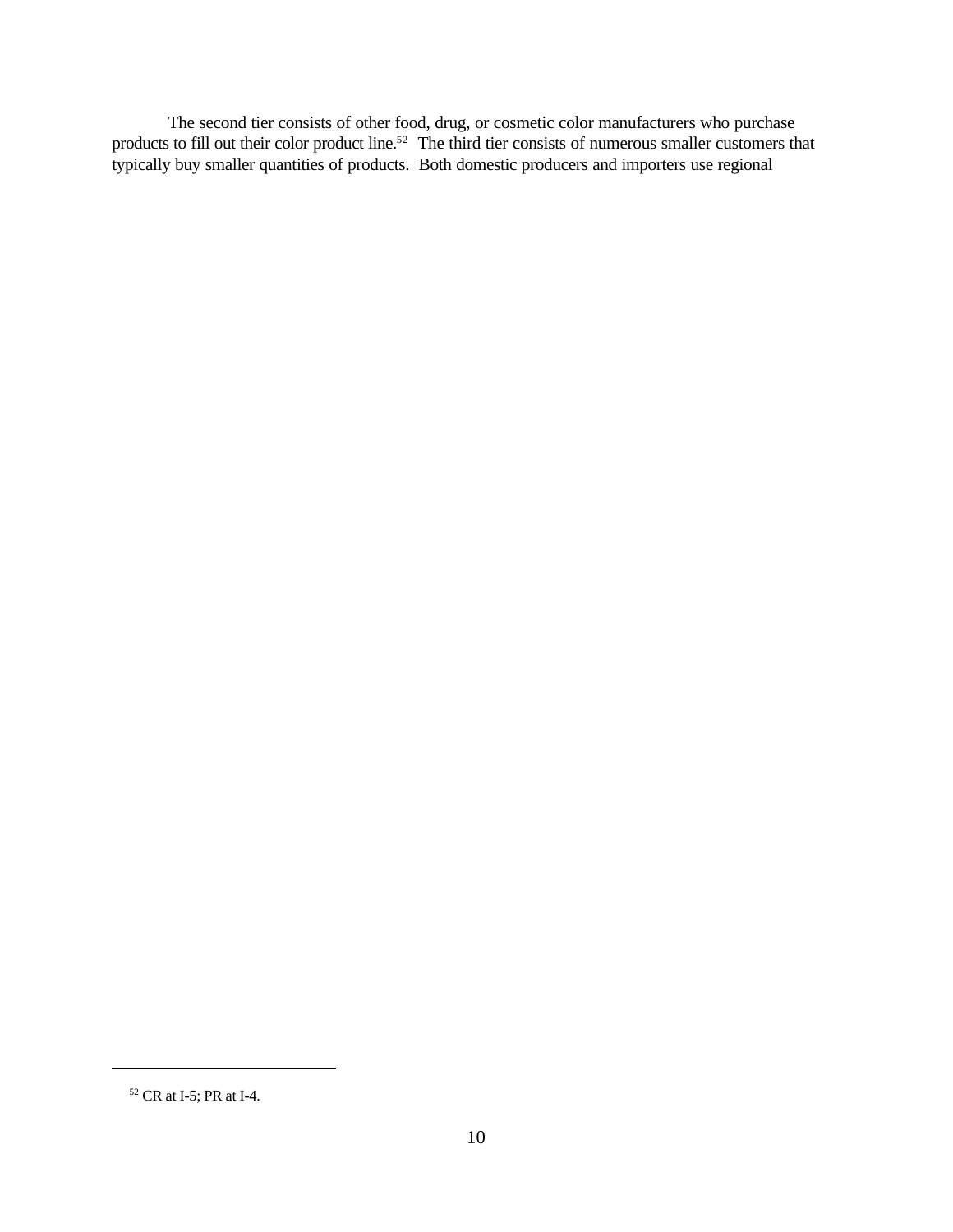The second tier consists of other food, drug, or cosmetic color manufacturers who purchase products to fill out their color product line.<sup>52</sup> The third tier consists of numerous smaller customers that typically buy smaller quantities of products. Both domestic producers and importers use regional

<sup>52</sup> CR at I-5; PR at I-4.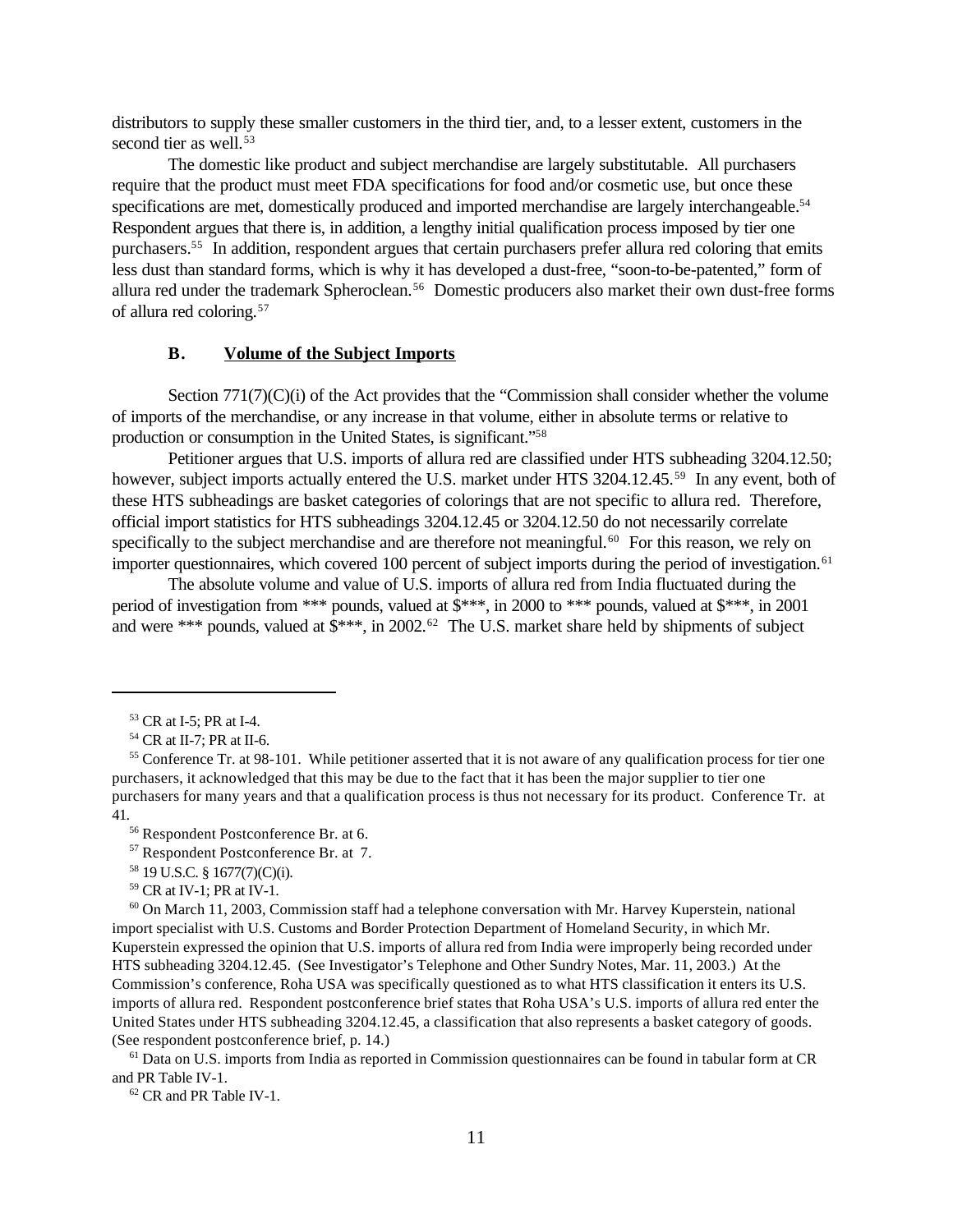distributors to supply these smaller customers in the third tier, and, to a lesser extent, customers in the second tier as well.<sup>53</sup>

The domestic like product and subject merchandise are largely substitutable. All purchasers require that the product must meet FDA specifications for food and/or cosmetic use, but once these specifications are met, domestically produced and imported merchandise are largely interchangeable.<sup>54</sup> Respondent argues that there is, in addition, a lengthy initial qualification process imposed by tier one purchasers.<sup>55</sup> In addition, respondent argues that certain purchasers prefer allura red coloring that emits less dust than standard forms, which is why it has developed a dust-free, "soon-to-be-patented," form of allura red under the trademark Spheroclean.<sup>56</sup> Domestic producers also market their own dust-free forms of allura red coloring.<sup>57</sup>

#### **B. Volume of the Subject Imports**

Section  $771(7)(C)(i)$  of the Act provides that the "Commission shall consider whether the volume of imports of the merchandise, or any increase in that volume, either in absolute terms or relative to production or consumption in the United States, is significant."<sup>58</sup>

Petitioner argues that U.S. imports of allura red are classified under HTS subheading 3204.12.50; however, subject imports actually entered the U.S. market under HTS 3204.12.45.<sup>59</sup> In any event, both of these HTS subheadings are basket categories of colorings that are not specific to allura red. Therefore, official import statistics for HTS subheadings 3204.12.45 or 3204.12.50 do not necessarily correlate specifically to the subject merchandise and are therefore not meaningful.<sup>60</sup> For this reason, we rely on importer questionnaires, which covered 100 percent of subject imports during the period of investigation.<sup>61</sup>

The absolute volume and value of U.S. imports of allura red from India fluctuated during the period of investigation from \*\*\* pounds, valued at \$\*\*\*, in 2000 to \*\*\* pounds, valued at \$\*\*\*, in 2001 and were \*\*\* pounds, valued at  $\frac{2002}{62}$  The U.S. market share held by shipments of subject

<sup>59</sup> CR at IV-1; PR at IV-1.

<sup>61</sup> Data on U.S. imports from India as reported in Commission questionnaires can be found in tabular form at CR and PR Table IV-1.

<sup>53</sup> CR at I-5; PR at I-4.

<sup>54</sup> CR at II-7; PR at II-6.

<sup>&</sup>lt;sup>55</sup> Conference Tr. at 98-101. While petitioner asserted that it is not aware of any qualification process for tier one purchasers, it acknowledged that this may be due to the fact that it has been the major supplier to tier one purchasers for many years and that a qualification process is thus not necessary for its product. Conference Tr. at 41.

<sup>56</sup> Respondent Postconference Br. at 6.

<sup>57</sup> Respondent Postconference Br. at 7.

<sup>58</sup> 19 U.S.C. § 1677(7)(C)(i).

 $60$  On March 11, 2003, Commission staff had a telephone conversation with Mr. Harvey Kuperstein, national import specialist with U.S. Customs and Border Protection Department of Homeland Security, in which Mr. Kuperstein expressed the opinion that U.S. imports of allura red from India were improperly being recorded under HTS subheading 3204.12.45. (See Investigator's Telephone and Other Sundry Notes, Mar. 11, 2003.) At the Commission's conference, Roha USA was specifically questioned as to what HTS classification it enters its U.S. imports of allura red. Respondent postconference brief states that Roha USA's U.S. imports of allura red enter the United States under HTS subheading 3204.12.45, a classification that also represents a basket category of goods. (See respondent postconference brief, p. 14.)

<sup>62</sup> CR and PR Table IV-1.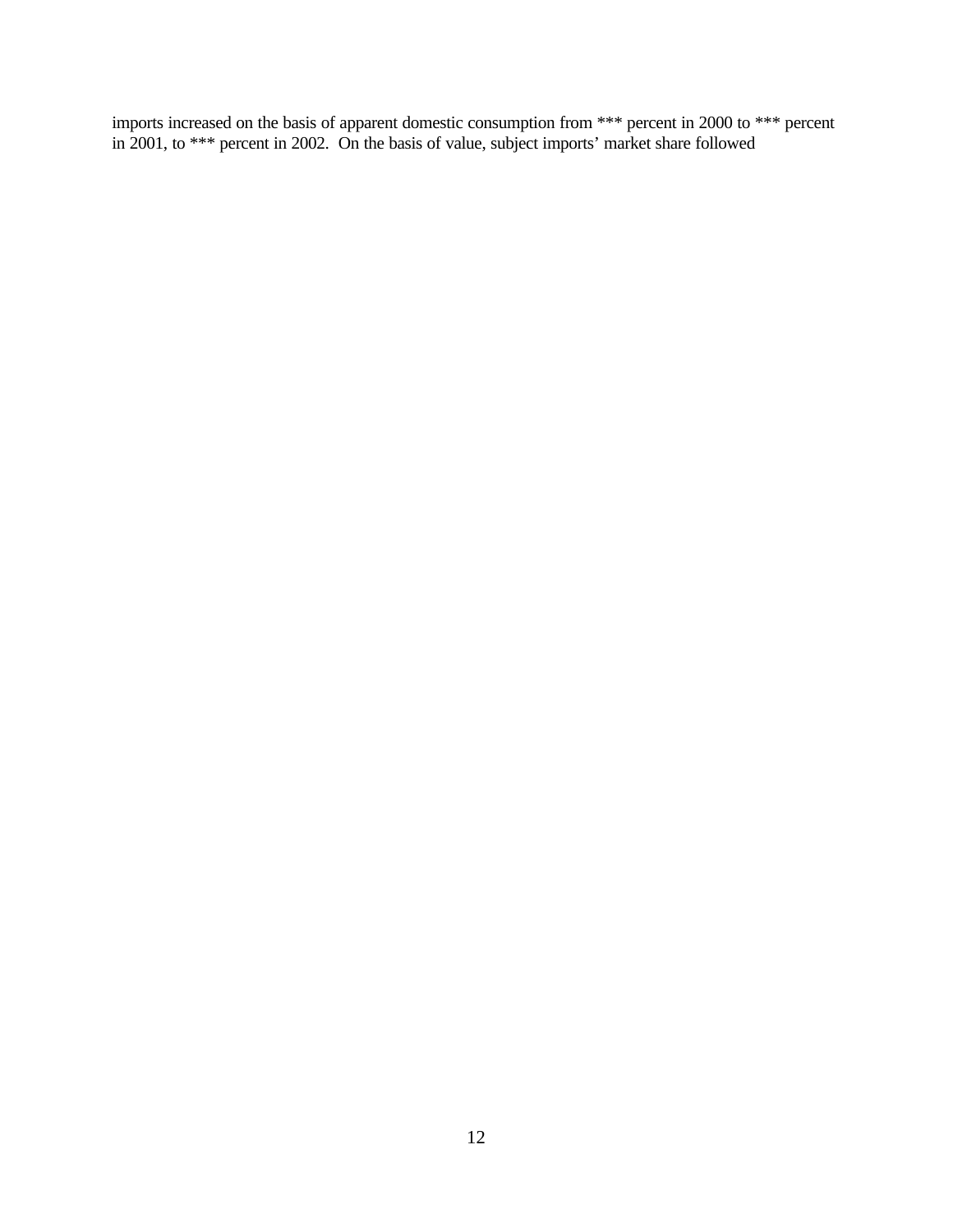imports increased on the basis of apparent domestic consumption from \*\*\* percent in 2000 to \*\*\* percent in 2001, to \*\*\* percent in 2002. On the basis of value, subject imports' market share followed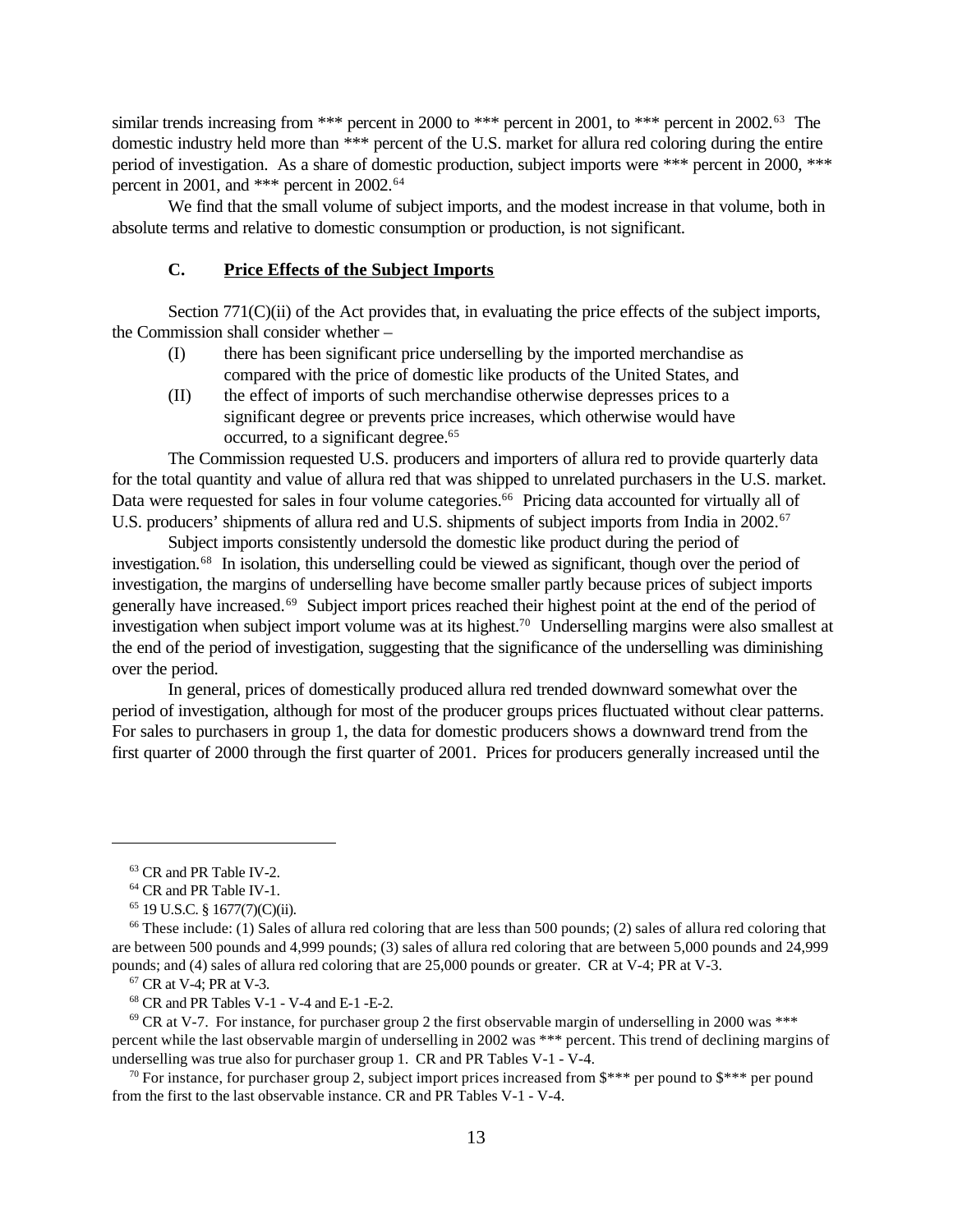similar trends increasing from \*\*\* percent in 2000 to \*\*\* percent in 2001, to \*\*\* percent in 2002.<sup>63</sup> The domestic industry held more than \*\*\* percent of the U.S. market for allura red coloring during the entire period of investigation. As a share of domestic production, subject imports were \*\*\* percent in 2000, \*\*\* percent in 2001, and \*\*\* percent in 2002.<sup>64</sup>

We find that the small volume of subject imports, and the modest increase in that volume, both in absolute terms and relative to domestic consumption or production, is not significant.

## **C. Price Effects of the Subject Imports**

Section 771(C)(ii) of the Act provides that, in evaluating the price effects of the subject imports, the Commission shall consider whether –

- (I) there has been significant price underselling by the imported merchandise as compared with the price of domestic like products of the United States, and
- (II) the effect of imports of such merchandise otherwise depresses prices to a significant degree or prevents price increases, which otherwise would have occurred, to a significant degree.<sup>65</sup>

The Commission requested U.S. producers and importers of allura red to provide quarterly data for the total quantity and value of allura red that was shipped to unrelated purchasers in the U.S. market. Data were requested for sales in four volume categories.<sup>66</sup> Pricing data accounted for virtually all of U.S. producers' shipments of allura red and U.S. shipments of subject imports from India in 2002.<sup>67</sup>

Subject imports consistently undersold the domestic like product during the period of investigation.<sup>68</sup> In isolation, this underselling could be viewed as significant, though over the period of investigation, the margins of underselling have become smaller partly because prices of subject imports generally have increased.<sup>69</sup> Subject import prices reached their highest point at the end of the period of investigation when subject import volume was at its highest.<sup>70</sup> Underselling margins were also smallest at the end of the period of investigation, suggesting that the significance of the underselling was diminishing over the period.

In general, prices of domestically produced allura red trended downward somewhat over the period of investigation, although for most of the producer groups prices fluctuated without clear patterns. For sales to purchasers in group 1, the data for domestic producers shows a downward trend from the first quarter of 2000 through the first quarter of 2001. Prices for producers generally increased until the

<sup>63</sup> CR and PR Table IV-2.

<sup>64</sup> CR and PR Table IV-1.

 $65$  19 U.S.C. § 1677(7)(C)(ii).

 $66$  These include: (1) Sales of allura red coloring that are less than 500 pounds; (2) sales of allura red coloring that are between 500 pounds and 4,999 pounds; (3) sales of allura red coloring that are between 5,000 pounds and 24,999 pounds; and (4) sales of allura red coloring that are 25,000 pounds or greater. CR at V-4; PR at V-3.

<sup>67</sup> CR at V-4; PR at V-3.

<sup>68</sup> CR and PR Tables V-1 - V-4 and E-1 -E-2.

<sup>&</sup>lt;sup>69</sup> CR at V-7. For instance, for purchaser group 2 the first observable margin of underselling in 2000 was \*\*\* percent while the last observable margin of underselling in 2002 was \*\*\* percent. This trend of declining margins of underselling was true also for purchaser group 1. CR and PR Tables V-1 - V-4.

<sup>&</sup>lt;sup>70</sup> For instance, for purchaser group 2, subject import prices increased from  $\frac{1}{2}$  per pound to  $\frac{1}{2}$  per pound from the first to the last observable instance. CR and PR Tables V-1 - V-4.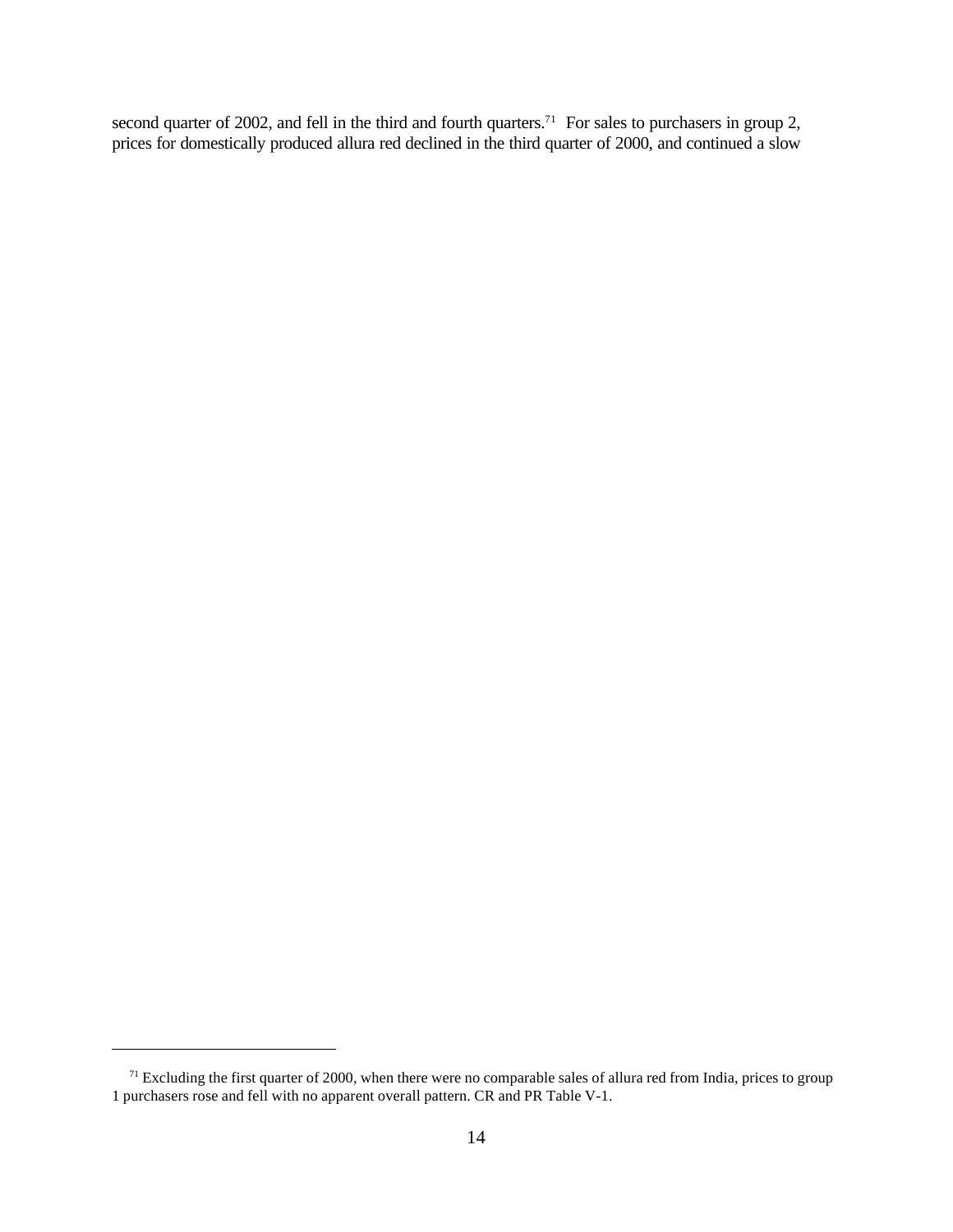second quarter of 2002, and fell in the third and fourth quarters.<sup>71</sup> For sales to purchasers in group 2, prices for domestically produced allura red declined in the third quarter of 2000, and continued a slow

 $71$  Excluding the first quarter of 2000, when there were no comparable sales of allura red from India, prices to group 1 purchasers rose and fell with no apparent overall pattern. CR and PR Table V-1.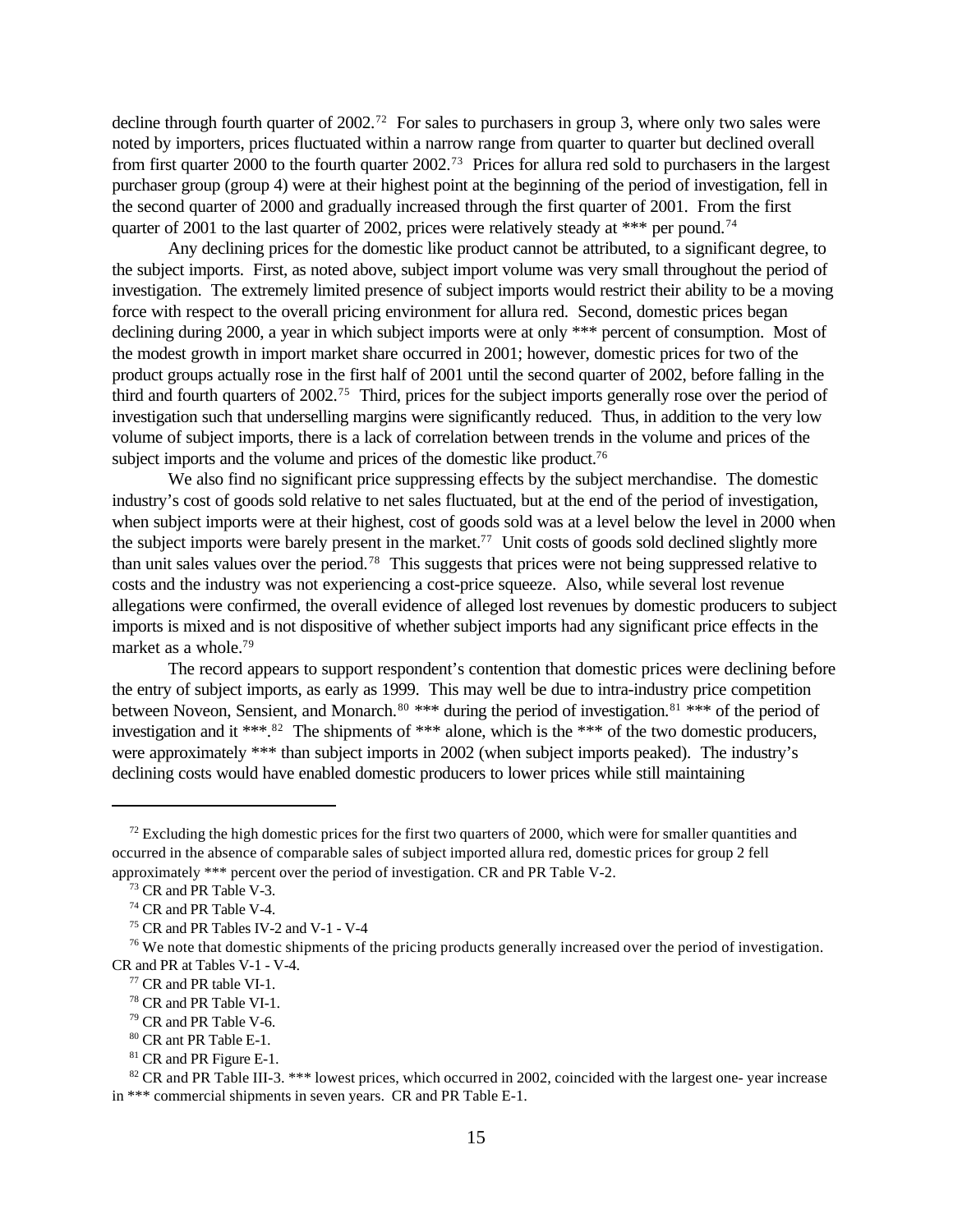decline through fourth quarter of 2002.<sup>72</sup> For sales to purchasers in group 3, where only two sales were noted by importers, prices fluctuated within a narrow range from quarter to quarter but declined overall from first quarter 2000 to the fourth quarter 2002.<sup>73</sup> Prices for allura red sold to purchasers in the largest purchaser group (group 4) were at their highest point at the beginning of the period of investigation, fell in the second quarter of 2000 and gradually increased through the first quarter of 2001. From the first quarter of 2001 to the last quarter of 2002, prices were relatively steady at \*\*\* per pound.<sup>74</sup>

Any declining prices for the domestic like product cannot be attributed, to a significant degree, to the subject imports. First, as noted above, subject import volume was very small throughout the period of investigation. The extremely limited presence of subject imports would restrict their ability to be a moving force with respect to the overall pricing environment for allura red. Second, domestic prices began declining during 2000, a year in which subject imports were at only \*\*\* percent of consumption. Most of the modest growth in import market share occurred in 2001; however, domestic prices for two of the product groups actually rose in the first half of 2001 until the second quarter of 2002, before falling in the third and fourth quarters of 2002.<sup>75</sup> Third, prices for the subject imports generally rose over the period of investigation such that underselling margins were significantly reduced. Thus, in addition to the very low volume of subject imports, there is a lack of correlation between trends in the volume and prices of the subject imports and the volume and prices of the domestic like product.<sup>76</sup>

We also find no significant price suppressing effects by the subject merchandise. The domestic industry's cost of goods sold relative to net sales fluctuated, but at the end of the period of investigation, when subject imports were at their highest, cost of goods sold was at a level below the level in 2000 when the subject imports were barely present in the market.<sup>77</sup> Unit costs of goods sold declined slightly more than unit sales values over the period.<sup>78</sup> This suggests that prices were not being suppressed relative to costs and the industry was not experiencing a cost-price squeeze. Also, while several lost revenue allegations were confirmed, the overall evidence of alleged lost revenues by domestic producers to subject imports is mixed and is not dispositive of whether subject imports had any significant price effects in the market as a whole.<sup>79</sup>

The record appears to support respondent's contention that domestic prices were declining before the entry of subject imports, as early as 1999. This may well be due to intra-industry price competition between Noveon, Sensient, and Monarch.<sup>80</sup> \*\*\* during the period of investigation.<sup>81</sup> \*\*\* of the period of investigation and it \*\*\*.<sup>82</sup> The shipments of \*\*\* alone, which is the \*\*\* of the two domestic producers, were approximately \*\*\* than subject imports in 2002 (when subject imports peaked). The industry's declining costs would have enabled domestic producers to lower prices while still maintaining

 $<sup>72</sup>$  Excluding the high domestic prices for the first two quarters of 2000, which were for smaller quantities and</sup> occurred in the absence of comparable sales of subject imported allura red, domestic prices for group 2 fell approximately \*\*\* percent over the period of investigation. CR and PR Table V-2.

<sup>73</sup> CR and PR Table V-3.

<sup>&</sup>lt;sup>74</sup> CR and PR Table V-4.

<sup>75</sup> CR and PR Tables IV-2 and V-1 - V-4

<sup>&</sup>lt;sup>76</sup> We note that domestic shipments of the pricing products generally increased over the period of investigation. CR and PR at Tables V-1 - V-4.

<sup>77</sup> CR and PR table VI-1.

<sup>78</sup> CR and PR Table VI-1.

<sup>79</sup> CR and PR Table V-6.

<sup>80</sup> CR ant PR Table E-1.

<sup>&</sup>lt;sup>81</sup> CR and PR Figure E-1.

<sup>&</sup>lt;sup>82</sup> CR and PR Table III-3. \*\*\* lowest prices, which occurred in 2002, coincided with the largest one- year increase in \*\*\* commercial shipments in seven years. CR and PR Table E-1.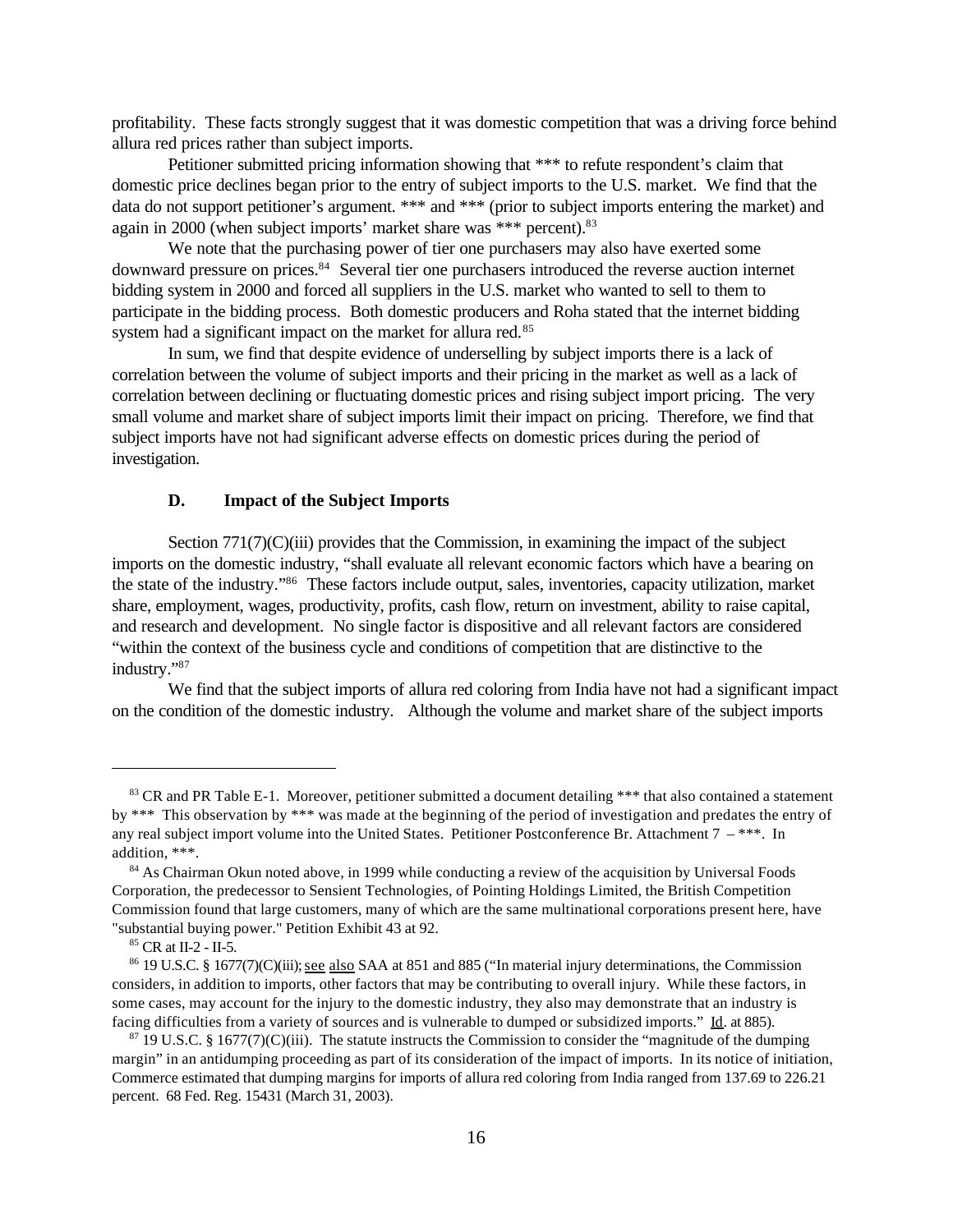profitability. These facts strongly suggest that it was domestic competition that was a driving force behind allura red prices rather than subject imports.

Petitioner submitted pricing information showing that \*\*\* to refute respondent's claim that domestic price declines began prior to the entry of subject imports to the U.S. market. We find that the data do not support petitioner's argument. \*\*\* and \*\*\* (prior to subject imports entering the market) and again in 2000 (when subject imports' market share was \*\*\* percent). $83$ 

We note that the purchasing power of tier one purchasers may also have exerted some downward pressure on prices.<sup>84</sup> Several tier one purchasers introduced the reverse auction internet bidding system in 2000 and forced all suppliers in the U.S. market who wanted to sell to them to participate in the bidding process. Both domestic producers and Roha stated that the internet bidding system had a significant impact on the market for allura red.<sup>85</sup>

In sum, we find that despite evidence of underselling by subject imports there is a lack of correlation between the volume of subject imports and their pricing in the market as well as a lack of correlation between declining or fluctuating domestic prices and rising subject import pricing. The very small volume and market share of subject imports limit their impact on pricing. Therefore, we find that subject imports have not had significant adverse effects on domestic prices during the period of investigation.

#### **D. Impact of the Subject Imports**

Section 771(7)(C)(iii) provides that the Commission, in examining the impact of the subject imports on the domestic industry, "shall evaluate all relevant economic factors which have a bearing on the state of the industry."<sup>86</sup> These factors include output, sales, inventories, capacity utilization, market share, employment, wages, productivity, profits, cash flow, return on investment, ability to raise capital, and research and development. No single factor is dispositive and all relevant factors are considered "within the context of the business cycle and conditions of competition that are distinctive to the industry."<sup>87</sup>

We find that the subject imports of allura red coloring from India have not had a significant impact on the condition of the domestic industry. Although the volume and market share of the subject imports

<sup>&</sup>lt;sup>83</sup> CR and PR Table E-1. Moreover, petitioner submitted a document detailing \*\*\* that also contained a statement by \*\*\* This observation by \*\*\* was made at the beginning of the period of investigation and predates the entry of any real subject import volume into the United States. Petitioner Postconference Br. Attachment  $7 -$ \*\*\*. In addition, \*\*\*.

<sup>&</sup>lt;sup>84</sup> As Chairman Okun noted above, in 1999 while conducting a review of the acquisition by Universal Foods Corporation, the predecessor to Sensient Technologies, of Pointing Holdings Limited, the British Competition Commission found that large customers, many of which are the same multinational corporations present here, have "substantial buying power." Petition Exhibit 43 at 92.

<sup>85</sup> CR at II-2 - II-5.

<sup>&</sup>lt;sup>86</sup> 19 U.S.C. § 1677(7)(C)(iii); <u>see also</u> SAA at 851 and 885 ("In material injury determinations, the Commission considers, in addition to imports, other factors that may be contributing to overall injury. While these factors, in some cases, may account for the injury to the domestic industry, they also may demonstrate that an industry is facing difficulties from a variety of sources and is vulnerable to dumped or subsidized imports." Id. at 885).

 $87$  19 U.S.C. § 1677(7)(C)(iii). The statute instructs the Commission to consider the "magnitude of the dumping margin" in an antidumping proceeding as part of its consideration of the impact of imports. In its notice of initiation, Commerce estimated that dumping margins for imports of allura red coloring from India ranged from 137.69 to 226.21 percent. 68 Fed. Reg. 15431 (March 31, 2003).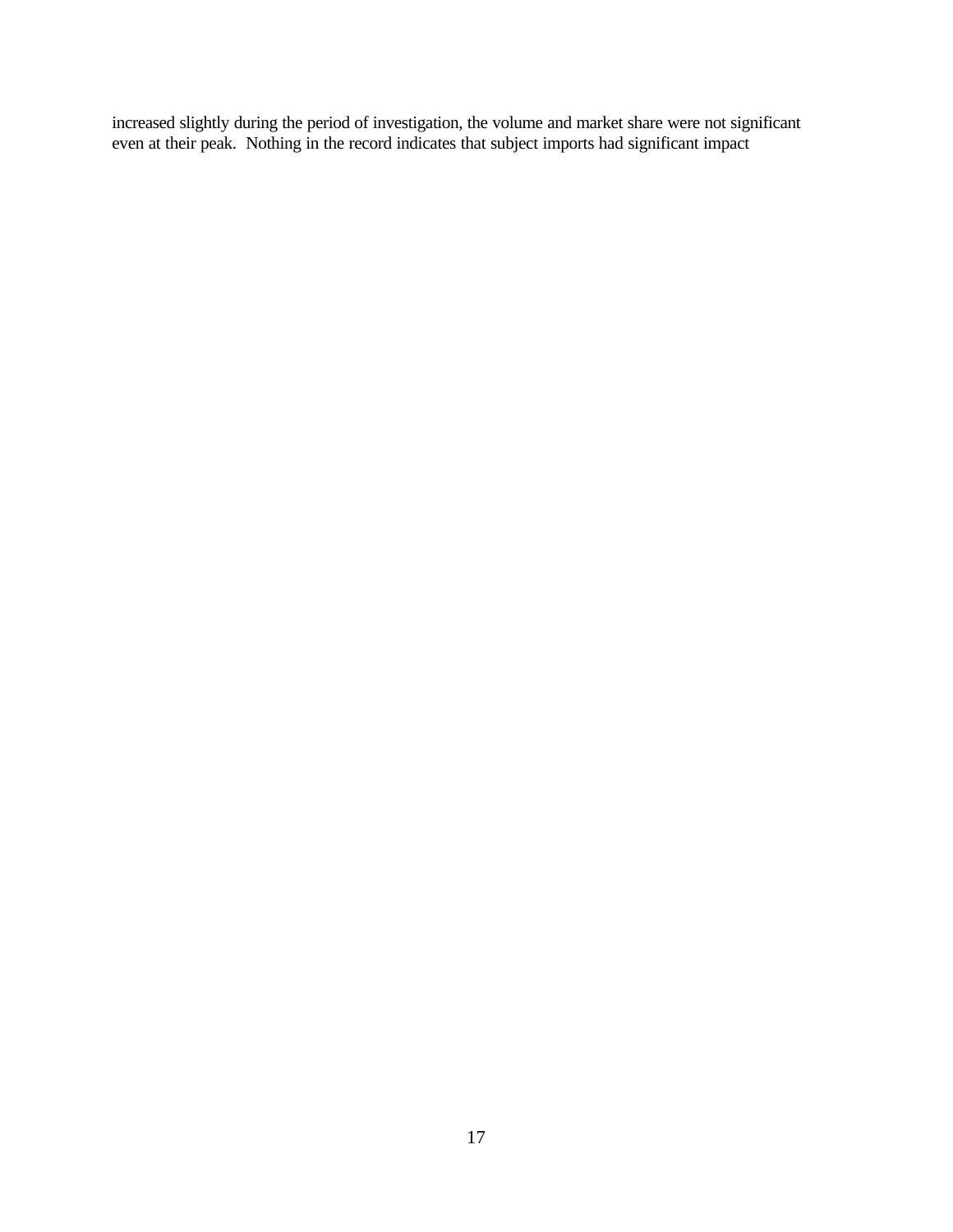increased slightly during the period of investigation, the volume and market share were not significant even at their peak. Nothing in the record indicates that subject imports had significant impact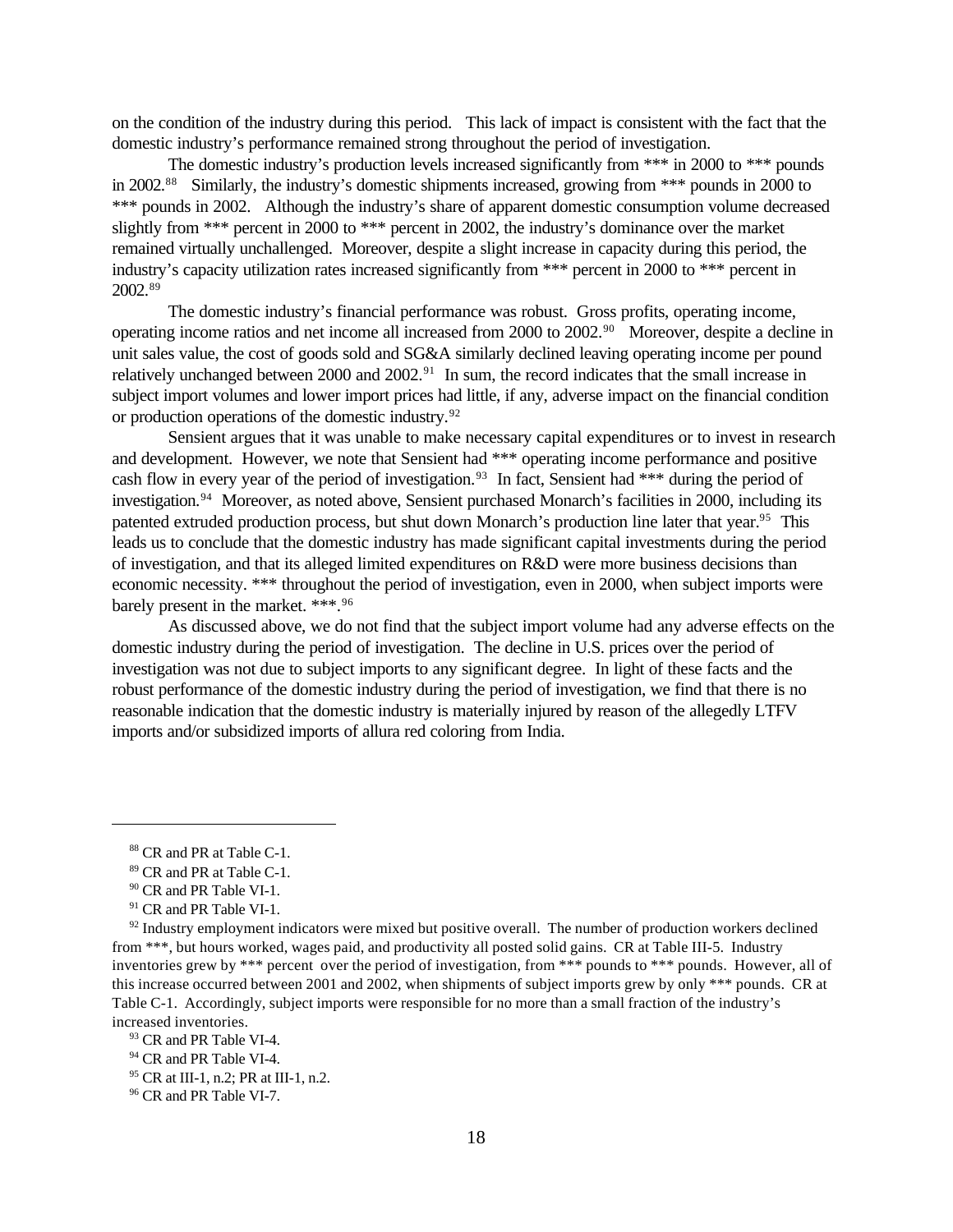on the condition of the industry during this period. This lack of impact is consistent with the fact that the domestic industry's performance remained strong throughout the period of investigation.

The domestic industry's production levels increased significantly from \*\*\* in 2000 to \*\*\* pounds in 2002.<sup>88</sup> Similarly, the industry's domestic shipments increased, growing from \*\*\* pounds in 2000 to \*\*\* pounds in 2002. Although the industry's share of apparent domestic consumption volume decreased slightly from \*\*\* percent in 2000 to \*\*\* percent in 2002, the industry's dominance over the market remained virtually unchallenged. Moreover, despite a slight increase in capacity during this period, the industry's capacity utilization rates increased significantly from \*\*\* percent in 2000 to \*\*\* percent in 2002.<sup>89</sup>

The domestic industry's financial performance was robust. Gross profits, operating income, operating income ratios and net income all increased from 2000 to 2002.<sup>90</sup> Moreover, despite a decline in unit sales value, the cost of goods sold and SG&A similarly declined leaving operating income per pound relatively unchanged between 2000 and 2002.<sup>91</sup> In sum, the record indicates that the small increase in subject import volumes and lower import prices had little, if any, adverse impact on the financial condition or production operations of the domestic industry.<sup>92</sup>

Sensient argues that it was unable to make necessary capital expenditures or to invest in research and development. However, we note that Sensient had \*\*\* operating income performance and positive cash flow in every year of the period of investigation.<sup>93</sup> In fact, Sensient had \*\*\* during the period of investigation.<sup>94</sup> Moreover, as noted above, Sensient purchased Monarch's facilities in 2000, including its patented extruded production process, but shut down Monarch's production line later that year.<sup>95</sup> This leads us to conclude that the domestic industry has made significant capital investments during the period of investigation, and that its alleged limited expenditures on R&D were more business decisions than economic necessity. \*\*\* throughout the period of investigation, even in 2000, when subject imports were barely present in the market. \*\*\*.<sup>96</sup>

As discussed above, we do not find that the subject import volume had any adverse effects on the domestic industry during the period of investigation. The decline in U.S. prices over the period of investigation was not due to subject imports to any significant degree. In light of these facts and the robust performance of the domestic industry during the period of investigation, we find that there is no reasonable indication that the domestic industry is materially injured by reason of the allegedly LTFV imports and/or subsidized imports of allura red coloring from India.

<sup>88</sup> CR and PR at Table C-1.

<sup>89</sup> CR and PR at Table C-1.

<sup>90</sup> CR and PR Table VI-1.

<sup>&</sup>lt;sup>91</sup> CR and PR Table VI-1.

 $92$  Industry employment indicators were mixed but positive overall. The number of production workers declined from \*\*\*, but hours worked, wages paid, and productivity all posted solid gains. CR at Table III-5. Industry inventories grew by \*\*\* percent over the period of investigation, from \*\*\* pounds to \*\*\* pounds. However, all of this increase occurred between 2001 and 2002, when shipments of subject imports grew by only \*\*\* pounds. CR at Table C-1. Accordingly, subject imports were responsible for no more than a small fraction of the industry's increased inventories.

<sup>&</sup>lt;sup>93</sup> CR and PR Table VI-4.

<sup>&</sup>lt;sup>94</sup> CR and PR Table VI-4.

<sup>95</sup> CR at III-1, n.2; PR at III-1, n.2.

<sup>&</sup>lt;sup>96</sup> CR and PR Table VI-7.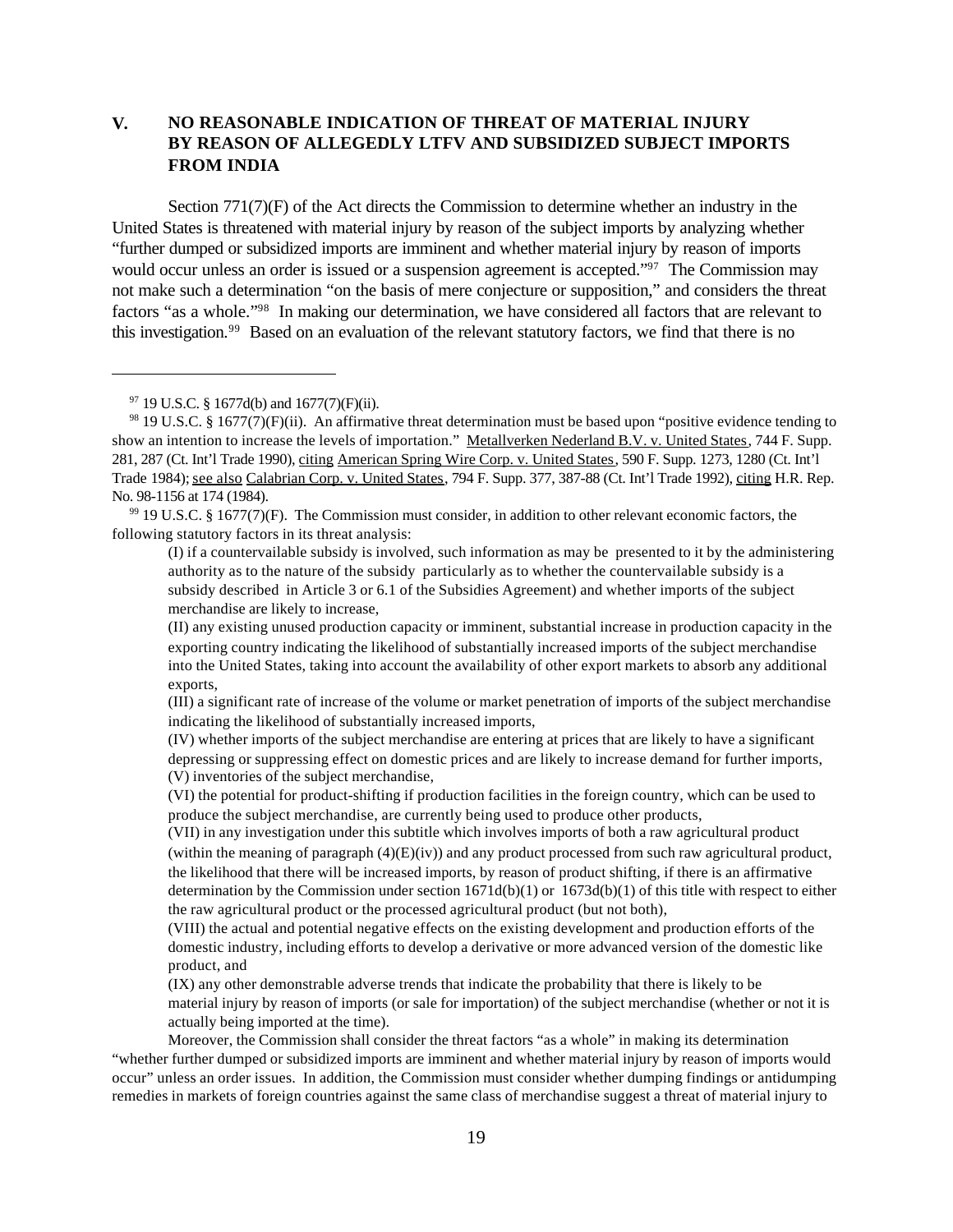# **V. NO REASONABLE INDICATION OF THREAT OF MATERIAL INJURY BY REASON OF ALLEGEDLY LTFV AND SUBSIDIZED SUBJECT IMPORTS FROM INDIA**

Section 771(7)(F) of the Act directs the Commission to determine whether an industry in the United States is threatened with material injury by reason of the subject imports by analyzing whether "further dumped or subsidized imports are imminent and whether material injury by reason of imports would occur unless an order is issued or a suspension agreement is accepted."<sup>97</sup> The Commission may not make such a determination "on the basis of mere conjecture or supposition," and considers the threat factors "as a whole."<sup>98</sup> In making our determination, we have considered all factors that are relevant to this investigation.99 Based on an evaluation of the relevant statutory factors, we find that there is no

 $99$  19 U.S.C. § 1677(7)(F). The Commission must consider, in addition to other relevant economic factors, the following statutory factors in its threat analysis:

(I) if a countervailable subsidy is involved, such information as may be presented to it by the administering authority as to the nature of the subsidy particularly as to whether the countervailable subsidy is a subsidy described in Article 3 or 6.1 of the Subsidies Agreement) and whether imports of the subject merchandise are likely to increase,

(III) a significant rate of increase of the volume or market penetration of imports of the subject merchandise indicating the likelihood of substantially increased imports,

(IV) whether imports of the subject merchandise are entering at prices that are likely to have a significant depressing or suppressing effect on domestic prices and are likely to increase demand for further imports, (V) inventories of the subject merchandise,

(VI) the potential for product-shifting if production facilities in the foreign country, which can be used to produce the subject merchandise, are currently being used to produce other products,

(VII) in any investigation under this subtitle which involves imports of both a raw agricultural product (within the meaning of paragraph  $(4)(E)(iv)$ ) and any product processed from such raw agricultural product, the likelihood that there will be increased imports, by reason of product shifting, if there is an affirmative determination by the Commission under section  $1671d(b)(1)$  or  $1673d(b)(1)$  of this title with respect to either the raw agricultural product or the processed agricultural product (but not both),

(VIII) the actual and potential negative effects on the existing development and production efforts of the domestic industry, including efforts to develop a derivative or more advanced version of the domestic like product, and

(IX) any other demonstrable adverse trends that indicate the probability that there is likely to be material injury by reason of imports (or sale for importation) of the subject merchandise (whether or not it is actually being imported at the time).

Moreover, the Commission shall consider the threat factors "as a whole" in making its determination "whether further dumped or subsidized imports are imminent and whether material injury by reason of imports would occur" unless an order issues. In addition, the Commission must consider whether dumping findings or antidumping remedies in markets of foreign countries against the same class of merchandise suggest a threat of material injury to

 $97$  19 U.S.C. § 1677d(b) and 1677(7)(F)(ii).

<sup>98 19</sup> U.S.C. § 1677(7)(F)(ii). An affirmative threat determination must be based upon "positive evidence tending to show an intention to increase the levels of importation." Metallverken Nederland B.V. v. United States, 744 F. Supp. 281, 287 (Ct. Int'l Trade 1990), citing American Spring Wire Corp. v. United States, 590 F. Supp. 1273, 1280 (Ct. Int'l Trade 1984); see also Calabrian Corp. v. United States, 794 F. Supp. 377, 387-88 (Ct. Int'l Trade 1992), citing H.R. Rep. No. 98-1156 at 174 (1984).

<sup>(</sup>II) any existing unused production capacity or imminent, substantial increase in production capacity in the exporting country indicating the likelihood of substantially increased imports of the subject merchandise into the United States, taking into account the availability of other export markets to absorb any additional exports,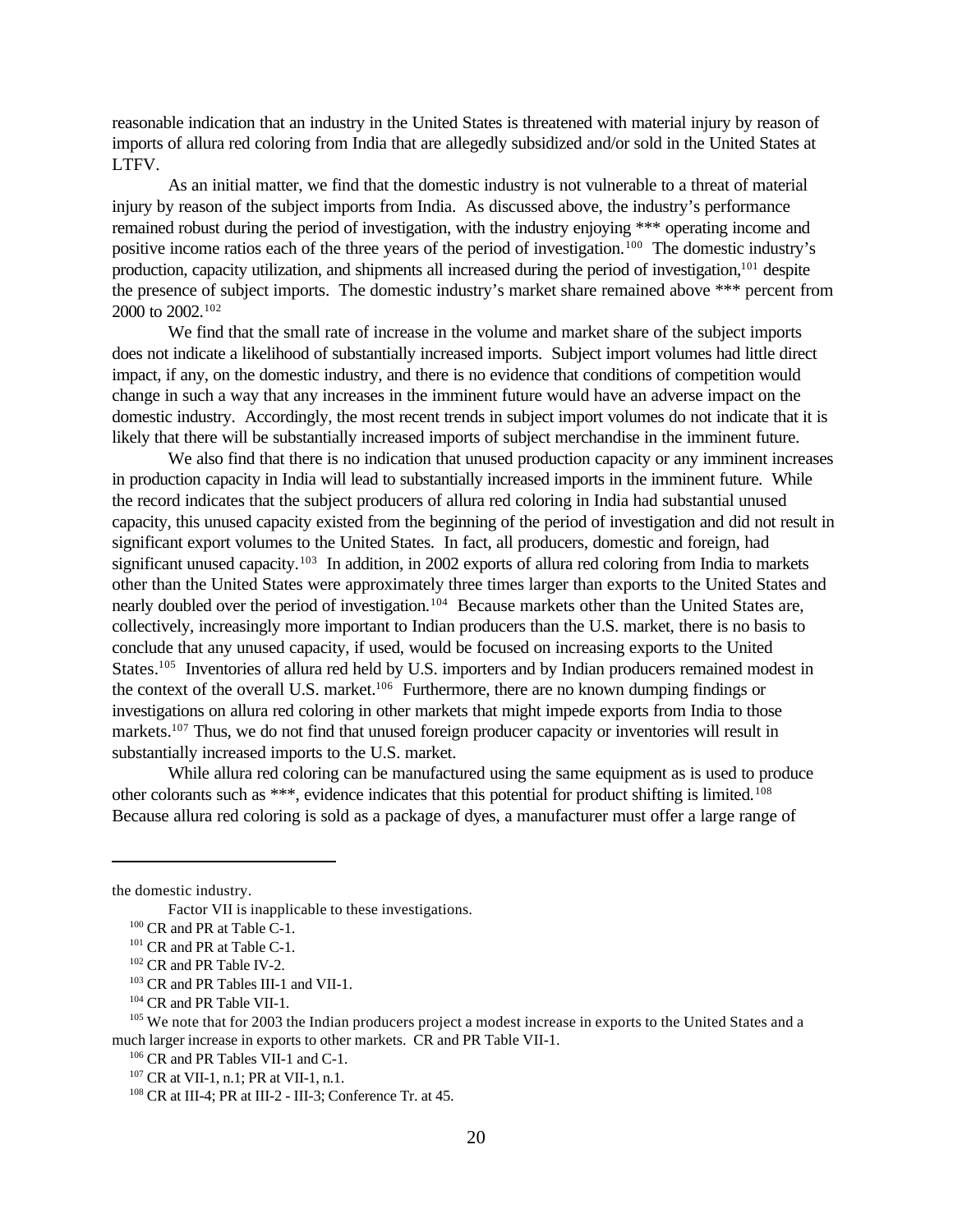reasonable indication that an industry in the United States is threatened with material injury by reason of imports of allura red coloring from India that are allegedly subsidized and/or sold in the United States at LTFV.

As an initial matter, we find that the domestic industry is not vulnerable to a threat of material injury by reason of the subject imports from India. As discussed above, the industry's performance remained robust during the period of investigation, with the industry enjoying \*\*\* operating income and positive income ratios each of the three years of the period of investigation.<sup>100</sup> The domestic industry's production, capacity utilization, and shipments all increased during the period of investigation,<sup>101</sup> despite the presence of subject imports. The domestic industry's market share remained above \*\*\* percent from 2000 to 2002.<sup>102</sup>

We find that the small rate of increase in the volume and market share of the subject imports does not indicate a likelihood of substantially increased imports. Subject import volumes had little direct impact, if any, on the domestic industry, and there is no evidence that conditions of competition would change in such a way that any increases in the imminent future would have an adverse impact on the domestic industry. Accordingly, the most recent trends in subject import volumes do not indicate that it is likely that there will be substantially increased imports of subject merchandise in the imminent future.

We also find that there is no indication that unused production capacity or any imminent increases in production capacity in India will lead to substantially increased imports in the imminent future. While the record indicates that the subject producers of allura red coloring in India had substantial unused capacity, this unused capacity existed from the beginning of the period of investigation and did not result in significant export volumes to the United States. In fact, all producers, domestic and foreign, had significant unused capacity.<sup>103</sup> In addition, in 2002 exports of allura red coloring from India to markets other than the United States were approximately three times larger than exports to the United States and nearly doubled over the period of investigation.<sup>104</sup> Because markets other than the United States are, collectively, increasingly more important to Indian producers than the U.S. market, there is no basis to conclude that any unused capacity, if used, would be focused on increasing exports to the United States.<sup>105</sup> Inventories of allura red held by U.S. importers and by Indian producers remained modest in the context of the overall U.S. market.<sup>106</sup> Furthermore, there are no known dumping findings or investigations on allura red coloring in other markets that might impede exports from India to those markets.<sup>107</sup> Thus, we do not find that unused foreign producer capacity or inventories will result in substantially increased imports to the U.S. market.

While allura red coloring can be manufactured using the same equipment as is used to produce other colorants such as \*\*\*, evidence indicates that this potential for product shifting is limited.<sup>108</sup> Because allura red coloring is sold as a package of dyes, a manufacturer must offer a large range of

the domestic industry.

<sup>105</sup> We note that for 2003 the Indian producers project a modest increase in exports to the United States and a much larger increase in exports to other markets. CR and PR Table VII-1.

Factor VII is inapplicable to these investigations.

<sup>&</sup>lt;sup>100</sup> CR and PR at Table C-1.

<sup>&</sup>lt;sup>101</sup> CR and PR at Table C-1.

<sup>&</sup>lt;sup>102</sup> CR and PR Table IV-2.

<sup>103</sup> CR and PR Tables III-1 and VII-1.

<sup>104</sup> CR and PR Table VII-1.

<sup>106</sup> CR and PR Tables VII-1 and C-1.

<sup>107</sup> CR at VII-1, n.1; PR at VII-1, n.1.

<sup>108</sup> CR at III-4; PR at III-2 - III-3; Conference Tr. at 45.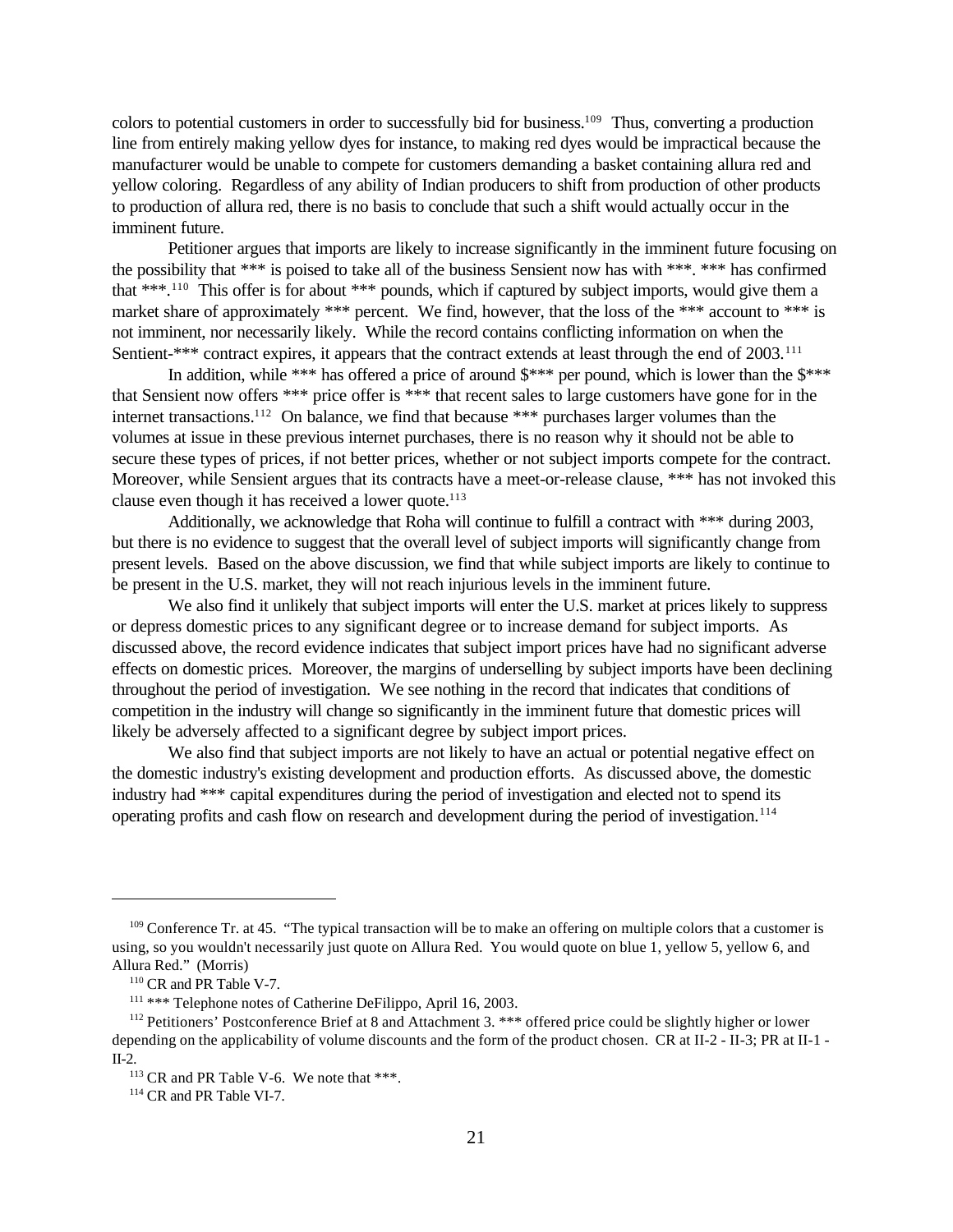colors to potential customers in order to successfully bid for business.<sup>109</sup> Thus, converting a production line from entirely making yellow dyes for instance, to making red dyes would be impractical because the manufacturer would be unable to compete for customers demanding a basket containing allura red and yellow coloring. Regardless of any ability of Indian producers to shift from production of other products to production of allura red, there is no basis to conclude that such a shift would actually occur in the imminent future.

Petitioner argues that imports are likely to increase significantly in the imminent future focusing on the possibility that \*\*\* is poised to take all of the business Sensient now has with \*\*\*. \*\*\* has confirmed that \*\*\*.<sup>110</sup> This offer is for about \*\*\* pounds, which if captured by subject imports, would give them a market share of approximately \*\*\* percent. We find, however, that the loss of the \*\*\* account to \*\*\* is not imminent, nor necessarily likely. While the record contains conflicting information on when the Sentient-\*\*\* contract expires, it appears that the contract extends at least through the end of 2003.<sup>111</sup>

In addition, while \*\*\* has offered a price of around  $$***$  per pound, which is lower than the  $$***$ that Sensient now offers \*\*\* price offer is \*\*\* that recent sales to large customers have gone for in the internet transactions.<sup>112</sup> On balance, we find that because \*\*\* purchases larger volumes than the volumes at issue in these previous internet purchases, there is no reason why it should not be able to secure these types of prices, if not better prices, whether or not subject imports compete for the contract. Moreover, while Sensient argues that its contracts have a meet-or-release clause, \*\*\* has not invoked this clause even though it has received a lower quote.<sup>113</sup>

Additionally, we acknowledge that Roha will continue to fulfill a contract with \*\*\* during 2003, but there is no evidence to suggest that the overall level of subject imports will significantly change from present levels. Based on the above discussion, we find that while subject imports are likely to continue to be present in the U.S. market, they will not reach injurious levels in the imminent future.

We also find it unlikely that subject imports will enter the U.S. market at prices likely to suppress or depress domestic prices to any significant degree or to increase demand for subject imports. As discussed above, the record evidence indicates that subject import prices have had no significant adverse effects on domestic prices. Moreover, the margins of underselling by subject imports have been declining throughout the period of investigation. We see nothing in the record that indicates that conditions of competition in the industry will change so significantly in the imminent future that domestic prices will likely be adversely affected to a significant degree by subject import prices.

We also find that subject imports are not likely to have an actual or potential negative effect on the domestic industry's existing development and production efforts. As discussed above, the domestic industry had \*\*\* capital expenditures during the period of investigation and elected not to spend its operating profits and cash flow on research and development during the period of investigation.114

<sup>&</sup>lt;sup>109</sup> Conference Tr. at 45. "The typical transaction will be to make an offering on multiple colors that a customer is using, so you wouldn't necessarily just quote on Allura Red. You would quote on blue 1, yellow 5, yellow 6, and Allura Red." (Morris)

<sup>&</sup>lt;sup>110</sup> CR and PR Table V-7.

<sup>&</sup>lt;sup>111</sup> \*\*\* Telephone notes of Catherine DeFilippo, April 16, 2003.

<sup>&</sup>lt;sup>112</sup> Petitioners' Postconference Brief at 8 and Attachment 3. \*\*\* offered price could be slightly higher or lower depending on the applicability of volume discounts and the form of the product chosen. CR at II-2 - II-3; PR at II-1 - II-2.

<sup>&</sup>lt;sup>113</sup> CR and PR Table V-6. We note that \*\*\*.

<sup>&</sup>lt;sup>114</sup> CR and PR Table VI-7.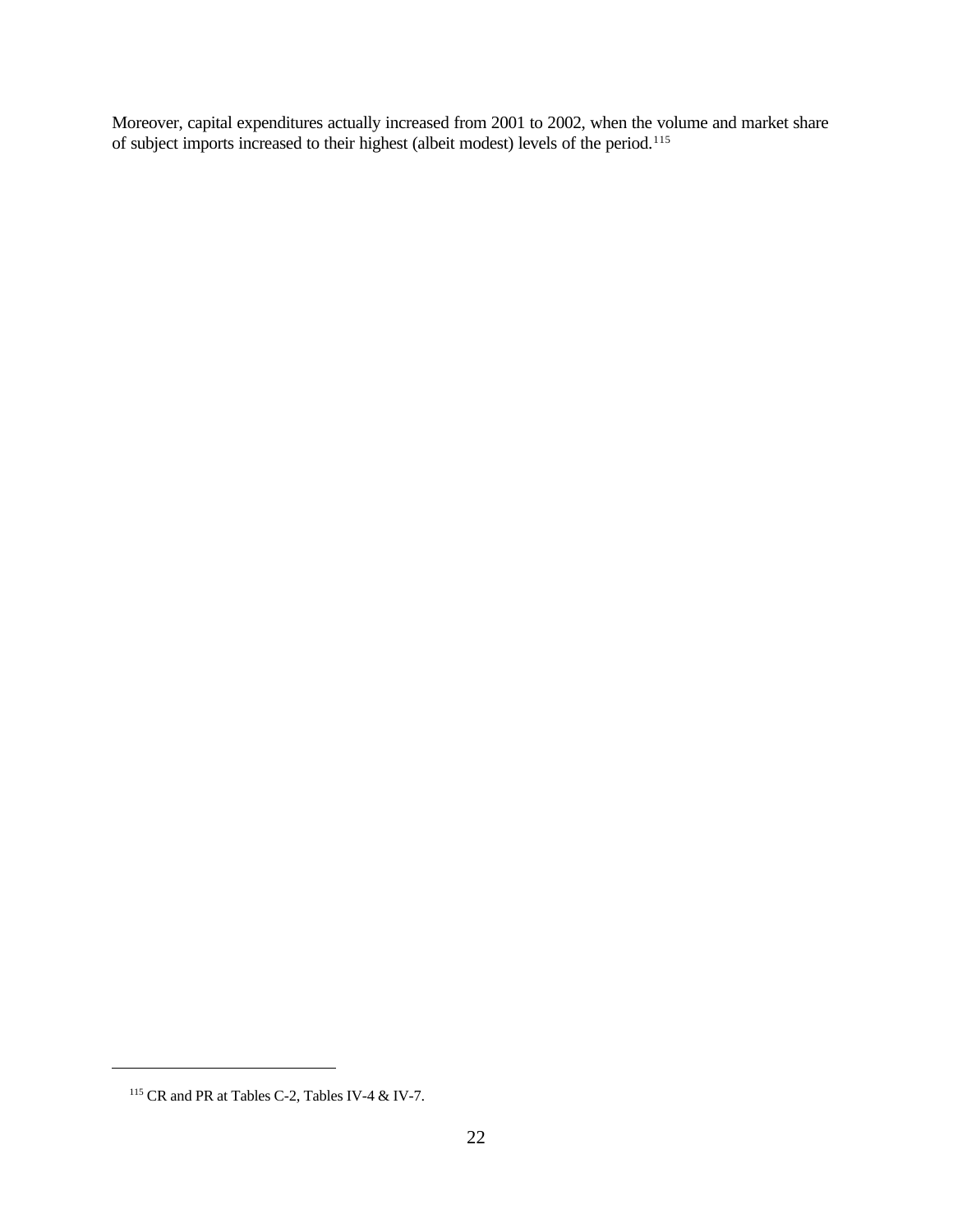Moreover, capital expenditures actually increased from 2001 to 2002, when the volume and market share of subject imports increased to their highest (albeit modest) levels of the period.115

 $^{115}$  CR and PR at Tables C-2, Tables IV-4 & IV-7.